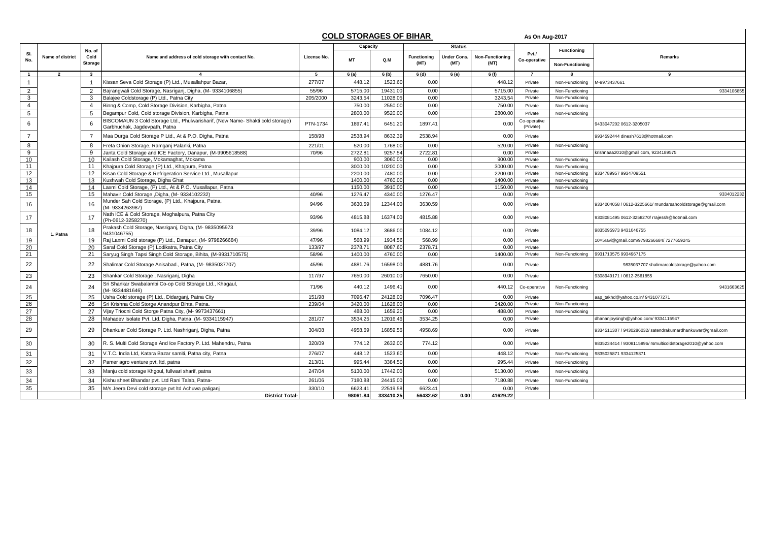## **COLD STORAGES OF BIHAR** As On Aug-2017

|                 |                  |                 |                                                                                                                 |             | <u><b><u>OULD UTURNOLU UT BITIME</u></b></u> |           |                            |                     |                                | As VII Aug-Zuit           |                        |                                                           |
|-----------------|------------------|-----------------|-----------------------------------------------------------------------------------------------------------------|-------------|----------------------------------------------|-----------|----------------------------|---------------------|--------------------------------|---------------------------|------------------------|-----------------------------------------------------------|
|                 |                  | No. of          |                                                                                                                 |             | Capacity                                     |           |                            | <b>Status</b>       |                                |                           | <b>Functioning</b>     |                                                           |
| SI.<br>No.      | Name of district | Cold<br>Storage | Name and address of cold storage with contact No.                                                               | License No. | <b>MT</b>                                    | Q.M       | <b>Functioning</b><br>(MT) | Under Cons.<br>(MT) | <b>Non-Functioning</b><br>(MT) | Pvt./<br>Co-operative     | <b>Non-Functioning</b> | Remarks                                                   |
| $\mathbf{1}$    | $\overline{2}$   | $\mathbf{3}$    |                                                                                                                 | 5           | 6 (a)                                        | 6 (b)     | 6 (d)                      | 6 (e)               | 6(f)                           | $\overline{7}$            |                        | 9                                                         |
| $\overline{1}$  |                  | $\overline{1}$  | Kissan Seva Cold Storage (P) Ltd., Musallahpur Bazar,                                                           | 277/07      | 448.12                                       | 1523.60   | 0.00                       |                     | 448.12                         | Private                   | Non-Functioning        | M-9973437661                                              |
| $\overline{2}$  |                  | 2               | Bajrangwali Cold Storage, Nasriganj, Digha, (M- 9334106855)                                                     | 55/96       | 5715.0                                       | 19431.0   | 0.00                       |                     | 5715.00                        | Private                   | Non-Functioning        | 933410685                                                 |
| $\mathbf{3}$    |                  | 3               | Balajee Coldstorage (P) Ltd., Patna City                                                                        | 205/2000    | 3243.54                                      | 11028.05  | 0.00                       |                     | 3243.54                        | Private                   | Non-Functioning        |                                                           |
| $\overline{4}$  |                  | $\overline{4}$  | Binng & Comp, Cold Storage Division, Karbigha, Patna                                                            |             | 750.00                                       | 2550.0    | 0.00                       |                     | 750.00                         | Private                   | Non-Functioning        |                                                           |
| $5\overline{)}$ |                  | 5               | Begampur Cold, Cold storage Division, Karbigha, Patna                                                           |             | 2800.00                                      | 9520.00   | 0.00                       |                     | 2800.00                        | Private                   | Non-Functioning        |                                                           |
| 6               |                  | -6              | BISCOMAUN 3 Cold Storage Ltd., Phulwarisharif, (New Name- Shakti cold storage)<br>Garbhuchak, Jagdevpath, Patna | PTN-1734    | 1897.41                                      | 6451.20   | 1897.41                    |                     | 0.00                           | Co-operative<br>(Private) |                        | 9433047202 0612-3205037                                   |
| $\overline{7}$  |                  | $\overline{7}$  | Maa Durga Cold Storage P Ltd., At & P.O. Digha, Patna                                                           | 158/98      | 2538.94                                      | 8632.39   | 2538.94                    |                     | 0.00                           | Private                   |                        | 9934592444 dinesh7613@hotmail.com                         |
| 8               |                  | 8               | Freta Onion Storage, Ramganj Palanki, Patna                                                                     | 221/01      | 520.00                                       | 1768.00   | 0.00                       |                     | 520.00                         | Private                   | Non-Functioning        |                                                           |
| 9               |                  | 9               | Janta Cold Storage and ICE Factory, Danapur, (M-9905618588)                                                     | 70/96       | 2722.81                                      | 9257.54   | 2722.8'                    |                     | 0.00                           | Private                   |                        | krishnaaa2010@gmail.com, 9234189575                       |
| 10              |                  | 10              | Kailash Cold Storage, Mokamaghat, Mokama                                                                        |             | 900.00                                       | 3060.00   | 0.00                       |                     | 900.00                         | Private                   | Non-Functioning        |                                                           |
| 11              |                  | 11              | Khajpura Cold Storage (P) Ltd., Khajpura, Patna                                                                 |             | 3000.00                                      | 10200.00  | 0.00                       |                     | 3000.00                        | Private                   | Non-Functioning        |                                                           |
| 12              |                  | 12              | Kisan Cold Storage & Refrigeration Service Ltd., Musallapur                                                     |             | 2200.00                                      | 7480.00   | 0.00                       |                     | 2200.00                        | Private                   | Non-Functioning        | 9334789957 9934709551                                     |
| 13              |                  | 13              | Kushwah Cold Storage, Digha Ghat                                                                                |             | 1400.00                                      | 4760.00   | 0.00                       |                     | 1400.00                        | Private                   | Non-Functioning        |                                                           |
| 14              |                  | 14              | Laxmi Cold Storage, (P) Ltd., At & P.O. Musallapur, Patna                                                       |             | 1150.00                                      | 3910.00   | 0.00                       |                     | 1150.00                        | Private                   | Non-Functioning        |                                                           |
| 15              |                  | 15              | Mahavir Cold Storage , Digha, (M- 9334102232)                                                                   | 40/96       | 1276.4                                       | 4340.00   | 1276.47                    |                     | 0.00                           | Private                   |                        | 9334012232                                                |
| 16              |                  | 16              | Munder Sah Cold Storage, (P) Ltd., Khajpura, Patna,<br>M-9334263987)                                            | 94/96       | 3630.59                                      | 12344.00  | 3630.59                    |                     | 0.00                           | Private                   |                        | 9334004058 / 0612-3225661/ mundarsahcoldstorage@gmail.com |
| 17              |                  | 17              | Nath ICE & Cold Storage, Moghalpura, Patna City<br>(Ph-0612-3258270)                                            | 93/96       | 4815.88                                      | 16374.00  | 4815.88                    |                     | 0.00                           | Private                   |                        | 9308081495 0612-3258270/ rrajessh@hotmail.com             |
| 18              | 1. Patna         | 18              | Prakash Cold Storage, Nasriganj, Digha, (M-9835095973<br>9431046755)                                            | 39/96       | 1084.1                                       | 3686.00   | 1084.12                    |                     | 0.00                           | Private                   |                        | 9835095973 9431046755                                     |
| 19              |                  | 19              | Raj Laxmi Cold storage (P) Ltd., Danapur, (M- 9798266684)                                                       | 47/96       | 568.99                                       | 1934.56   | 568.99                     |                     | 0.00                           | Private                   |                        | 10x5ravi@gmail.com/9798266684/7277659245                  |
| 20              |                  | 20              | Saraf Cold Storage (P) Lodikatra, Patna City                                                                    | 133/97      | 2378.71                                      | 8087.60   | 2378.7                     |                     | 0.00                           | Private                   |                        |                                                           |
| 21              |                  | 21              | Saryug Singh Tapsi Singh Cold Storage, Bihita, (M-9931710575)                                                   | 58/96       | 1400.00                                      | 4760.00   | 0.00                       |                     | 1400.00                        | Private                   | Non-Functioning        | 9931710575 9934967175                                     |
| 22              |                  | 22              | Shalimar Cold Storage Anisabad., Patna, (M- 9835037707)                                                         | 45/96       | 4881.76                                      | 16598.00  | 4881.76                    |                     | 0.00                           | Private                   |                        | 9835037707 shalimarcoldstorage@yahoo.com                  |
| 23              |                  | 23              | Shankar Cold Storage, Nasriganj, Digha                                                                          | 117/97      | 7650.00                                      | 26010.00  | 7650.00                    |                     | 0.00                           | Private                   |                        | 9308949171 / 0612-2561855                                 |
| 24              |                  | 24              | Sri Shankar Swabalambi Co-op Cold Storage Ltd., Khagaul,<br>M-9334481646)                                       | 71/96       | 440.12                                       | 1496.41   | 0.00                       |                     | 440.12                         | Co-operative              | Non-Functioning        | 9431663625                                                |
| 25              |                  | 25              | Usha Cold storage (P) Ltd., Didarganj, Patna City                                                               | 151/98      | 7096.4                                       | 24128.00  | 7096.47                    |                     | 0.00                           | Private                   |                        | aap_takhd@yahoo.co.in/9431077271                          |
| 26              |                  | 26              | Sri Krishna Cold Storge Anandpur Bihta, Patna.                                                                  | 239/04      | 3420.00                                      | 11628.00  | 0.00                       |                     | 3420.00                        | Private                   | Non-Functioning        |                                                           |
| 27              |                  | 27              | Vijay Triocni Cold Storge Patna City, (M-9973437661)                                                            |             | 488.00                                       | 1659.20   | 0.00                       |                     | 488.00                         | Private                   | Non-Functioning        |                                                           |
| 28              |                  | 28              | Mahadev Isolate Pvt. Ltd. Digha, Patna, (M-9334115947)                                                          | 281/07      | 3534.25                                      | 12016.46  | 3534.25                    |                     | 0.00                           | Private                   |                        | dhananjoysingh@yahoo.com/9334115947                       |
| 29              |                  | 29              | Dhankuar Cold Storage P. Ltd. Nashriganj, Digha, Patna                                                          | 304/08      | 4958.69                                      | 16859.56  | 4958.69                    |                     | 0.00                           | Private                   |                        | 9334511307 / 9430286032/ satendrakumardhankuwar@gmail.com |
| 30              |                  | 30              | R. S. Multi Cold Storage And Ice Factory P. Ltd. Mahendru, Patna                                                | 320/09      | 774.1                                        | 2632.00   | 774.12                     |                     | 0.00                           | Private                   |                        | 9835234414 / 9308115896/ rsmulticoldstorage2010@yahoo.com |
| 31              |                  | 31              | V.T.C. India Ltd, Katara Bazar samiti, Patna city, Patna                                                        | 276/07      | 448.12                                       | 1523.60   | 0.00                       |                     | 448.12                         | Private                   | Non-Functioning        | 9835025871 9334125871                                     |
| 32              |                  | 32              | Pamer agro venture pvt, ltd, patna                                                                              | 213/01      | 995.44                                       | 3384.50   | 0.00                       |                     | 995.44                         | Private                   | Non-Functioning        |                                                           |
| 33              |                  | 33              | Manju cold storage Khgoul, fullwari sharif, patna                                                               | 247/04      | 5130.00                                      | 17442.00  | 0.00                       |                     | 5130.00                        | Private                   | Non-Functioning        |                                                           |
| 34              |                  | 34              | Kishu sheet Bhandar pvt. Ltd Rani Talab, Patna-                                                                 | 261/06      | 7180.88                                      | 24415.00  | 0.00                       |                     | 7180.88                        | Private                   | Non-Functioning        |                                                           |
| 35              |                  | 35              | M/s Jeera Devi cold storage pvt ltd Achuwa paliganj                                                             | 330/10      | 6623.41                                      | 22519.58  | 6623.41                    |                     | 0.00                           | Private                   |                        |                                                           |
|                 |                  |                 | <b>District Total-</b>                                                                                          |             | 98061.84                                     | 333410.25 | 56432.62                   | 0.00                | 41629.22                       |                           |                        |                                                           |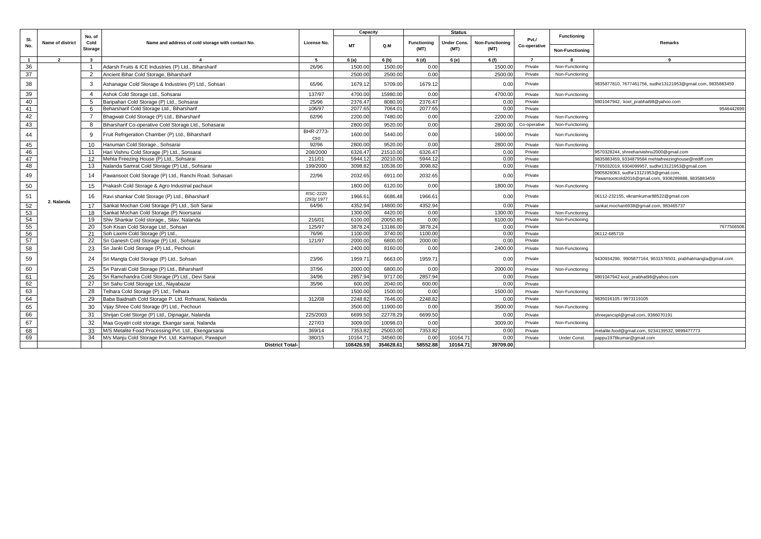| SI.<br>Pvt./<br>Name of district<br><b>Functioning</b><br>Cold<br>Name and address of cold storage with contact No.<br>Under Cons.<br><b>Non-Functioning</b><br>Remarks<br>License No.<br><b>MT</b><br>Q.M<br>No.<br>Co-operative<br><b>Storage</b><br>(MT)<br>(MT)<br>(MT)<br><b>Non-Functioning</b><br>$\overline{2}$<br>$\mathbf{3}$<br>5<br>6(a)<br>6(b)<br>6(d)<br>6 (e)<br>6 (f)<br>$\overline{7}$<br>$\overline{1}$<br>9<br>36<br>Adarsh Fruits & ICE Industries (P) Ltd., Biharsharif<br>26/96<br>1500.00<br>1500.00<br>1500.00<br>0.00<br>Private<br>Non-Functioning<br>37<br>$\overline{2}$<br>Ancient Bihar Cold Storage, Biharsharif<br>2500.00<br>2500.00<br>0.00<br>2500.00<br>Private<br>Non-Functioning<br>38<br>65/96<br>3<br>Ashanagar Cold Storage & Industries (P) Ltd., Sohsari<br>1679.12<br>5709.00<br>1679.12<br>0.00<br>Private<br>9835877810, 7677461756, sudhir13121953@gmail.com, 9835883459<br>39<br>4700.00<br>15980.00<br>0.00<br>4700.00<br>Ashok Cold Storage Ltd., Sohsarai<br>137/97<br>Private<br>Non-Functioning<br>$\overline{4}$<br>40<br>Baripahari Cold Storage (P) Ltd., Sohsarai<br>2376.47<br>2376.47<br>25/96<br>8080.00<br>0.00<br>Private<br>-5<br>9801047942, kool prabhat98@yahoo.com<br>41<br>2077.65<br>7064.01<br>2077.65<br>0.00<br>Beharsharif Cold Storage Ltd., Biharsharif<br>106/97<br>Private<br>6<br>9546442699<br>42<br>- 7<br>Bhaqwati Cold Storage (P) Ltd., Biharsharif<br>62/96<br>2200.00<br>7480.00<br>0.00<br>2200.00<br>Private<br>Non-Functioning<br>43<br>Biharsharif Co-operative Cold Storage Ltd., Sohasarai<br>2800.00<br>9520.00<br>0.00<br>2800.00<br>Co-operative<br>Non-Functioning<br>8<br>BHR-2773-<br>44<br>1600.00<br>5440.00<br>0.00<br>1600.00<br>Fruit Refrigeration Chamber (P) Ltd., Biharsharif<br>٩<br>Private<br>Non-Functioning<br><b>CSO</b><br>45<br>10<br>Hanuman Cold Storage., Sohsarai<br>92/96<br>2800.00<br>9520.00<br>0.00<br>2800.00<br>Private<br>Non-Functioning<br>46<br>6326.4<br>6326.47<br>21510.00<br>0.00<br>Private<br>9570328244, shreeharivishnu2000@gmail.com<br>11<br>Hari Vishnu Cold Storage (P) Ltd., Sonsarai<br>208/2000<br>47<br>5944.1<br>Mehta Freezing House (P) Ltd., Sohsarai<br>5944.12<br>20210.00<br>0.00<br>12<br>211/01<br>Private<br>9835883459, 9334879584 mehtafreezinghouse@rediff.com<br>48<br>3098.82<br>13<br>Nalanda Samrat Cold Storage (P) Ltd., Sohsarai<br>3098.82<br>10536.00<br>0.00<br>Private<br>765032019, 9304099957, sudhir13121953@gmail.com<br>199/2000<br>9905826063, sudhir13121953@gmail.com,<br>49<br>Pawansoot Cold Storage (P) Ltd., Ranchi Road. Sohasari<br>22/96<br>2032.65<br>6911.00<br>2032.65<br>0.00<br>Private<br>14<br>Pawansootcold2016@gmail.com, 9308289888, 9835883459<br>50<br>0.00<br>1800.00<br>1800.00<br>6120.00<br>15<br>Prakash Cold Storage & Agro Industrial pachauri<br>Private<br>Non-Functioning<br>RSC-2220<br>51<br>1966.6<br>Ravi shankar Cold Storage (P) Ltd., Biharsharif<br>1966.61<br>6686.48<br>0.00<br>Private<br>06112-232155, vikramkumar88522@gmail.com<br>16<br>(293)/1977<br>2. Nalanda<br>$\frac{52}{53}$<br>4352.94<br>4352.94<br>Sankat Mochan Cold Storage (P) Ltd., Soh Sarai<br>64/96<br>14800.00<br>0.00<br>17<br>Private<br>sankat.mochan6938@gmail.com, 983465737<br>Sankat Mochan Cold Storage (P) Noorsarai<br>1300.00<br>4420.00<br>0.00<br>Private<br>1300.00<br>Non-Functioning<br>18<br>54<br>Shiv Shankar Cold storage., Silav, Nalanda<br>6100.00<br>20050.80<br>0.00<br>6100.00<br>19<br>216/01<br>Private<br>Non-Functioning<br>$\frac{1}{55}$<br>Soh Kisan Cold Storage Ltd., Sohsari<br>125/97<br>3878.24<br>13186.00<br>3878.24<br>7677506508<br>20<br>0.00<br>Private<br>56<br>Soh Laxmi Cold Storage (P) Ltd.<br>76/96<br>1100.00<br>3740.00<br>1100.00<br>0.00<br>21<br>Private<br>06112-685719<br>57<br>22<br>2000.00<br>6800.00<br>2000.00<br>0.00<br>Sri Ganesh Cold Storage (P) Ltd., Sohsarai<br>121/97<br>Private<br>58<br>8160.00<br>23<br>Sri Janki Cold Storage (P) Ltd., Pechouri<br>2400.00<br>0.00<br>2400.00<br>Private<br>Non-Functioning<br>59<br>23/96<br>1959.7<br>6663.00<br>1959.7<br>Sri Mangla Cold Storage (P) Ltd., Sohsari<br>0.00<br>24<br>Private<br>9430934296, 9905877164, 9631576501, prabhatmangla@gmail.com<br>60<br>37/96<br>2000.00<br>6800.00<br>0.00<br>2000.00<br>Private<br>25<br>Sri Parvati Cold Storage (P) Ltd., Biharsharif<br>Non-Functioning<br>61<br>26<br>Sri Ramchandra Cold Storage (P) Ltd., Devi Sarai<br>34/96<br>2857.94<br>9717.00<br>2857.94<br>0.00<br>Private<br>9801047942 kool_prabhat98@yahoo.com<br>62<br>35/96<br>600.00<br>2040.00<br>0.00<br>27<br>Sri Sahu Cold Storage Ltd., Nayabazar<br>600.00<br>Private<br>63<br>Telhara Cold Storage (P) Ltd., Telhara<br>1500.00<br>1500.00<br>0.00<br>1500.00<br>28<br>Private<br>Non-Functioning<br>64<br>29<br>2248.82<br>7646.00<br>2248.82<br>0.00<br>Private<br>Baba Baidnath Cold Storage P. Ltd. Rohsarai, Nalanda<br>312/08<br>835016105 / 9973119105<br>65<br>Vijay Shree Cold Storage (P) Ltd., Pechouri<br>3500.00<br>11900.00<br>0.00<br>3500.00<br>Private<br>Non-Functioning<br>30<br>66<br>Shrijan Cold Storge (P) Ltd., Dipnagar, Nalanda<br>6699.5<br>6699.50<br>225/2003<br>22778.2<br>0.00<br>31<br>Private<br>shreejancspl@gmail.com, 9386070191<br>67<br>32<br>Maa Goyatri cold storage, Ekangar sarai, Nalanda<br>227/03<br>3009.00<br>10098.03<br>0.00<br>3009.00<br>Private<br>Non-Functioning<br>68<br>M/S Metalite Food Processing Pvt. Ltd., Ekengarsarai<br>7353.82<br>33<br>369/14<br>7353.82<br>25003.00<br>0.00<br>Private<br>netalite.food@gmail.com, 9234139532, 9899477773<br>69<br>34<br>380/15<br>10164.7<br>34560.0<br>0.0<br>10164.71<br>0.00<br>Private<br>M/s Manju Cold Storage Pvt. Ltd. Karmapuri, Pawapuri<br><b>Under Const</b><br>oappu1978kumar@gmail.com<br>58552.88<br>108426.59<br>354628.61<br>10164.71<br>39709.00<br><b>District Total-</b> |  |        |  | Capacity |  | <b>Status</b> |  |             |  |
|------------------------------------------------------------------------------------------------------------------------------------------------------------------------------------------------------------------------------------------------------------------------------------------------------------------------------------------------------------------------------------------------------------------------------------------------------------------------------------------------------------------------------------------------------------------------------------------------------------------------------------------------------------------------------------------------------------------------------------------------------------------------------------------------------------------------------------------------------------------------------------------------------------------------------------------------------------------------------------------------------------------------------------------------------------------------------------------------------------------------------------------------------------------------------------------------------------------------------------------------------------------------------------------------------------------------------------------------------------------------------------------------------------------------------------------------------------------------------------------------------------------------------------------------------------------------------------------------------------------------------------------------------------------------------------------------------------------------------------------------------------------------------------------------------------------------------------------------------------------------------------------------------------------------------------------------------------------------------------------------------------------------------------------------------------------------------------------------------------------------------------------------------------------------------------------------------------------------------------------------------------------------------------------------------------------------------------------------------------------------------------------------------------------------------------------------------------------------------------------------------------------------------------------------------------------------------------------------------------------------------------------------------------------------------------------------------------------------------------------------------------------------------------------------------------------------------------------------------------------------------------------------------------------------------------------------------------------------------------------------------------------------------------------------------------------------------------------------------------------------------------------------------------------------------------------------------------------------------------------------------------------------------------------------------------------------------------------------------------------------------------------------------------------------------------------------------------------------------------------------------------------------------------------------------------------------------------------------------------------------------------------------------------------------------------------------------------------------------------------------------------------------------------------------------------------------------------------------------------------------------------------------------------------------------------------------------------------------------------------------------------------------------------------------------------------------------------------------------------------------------------------------------------------------------------------------------------------------------------------------------------------------------------------------------------------------------------------------------------------------------------------------------------------------------------------------------------------------------------------------------------------------------------------------------------------------------------------------------------------------------------------------------------------------------------------------------------------------------------------------------------------------------------------------------------------------------------------------------------------------------------------------------------------------------------------------------------------------------------------------------------------------------------------------------------------------------------------------------------------------------------------------------------------------------------------------------------------------------------------------------------------------------------------------------------------------------------------------------------------------------------------------------------------------------------------------------------------------------------------------------------------------------------------------------------------------------------------------------------------------------------------------------------------------------------------------------------------------------------------------------------------------------------------------------------------------------------------------------------------------------------------------------------------------------------------|--|--------|--|----------|--|---------------|--|-------------|--|
|                                                                                                                                                                                                                                                                                                                                                                                                                                                                                                                                                                                                                                                                                                                                                                                                                                                                                                                                                                                                                                                                                                                                                                                                                                                                                                                                                                                                                                                                                                                                                                                                                                                                                                                                                                                                                                                                                                                                                                                                                                                                                                                                                                                                                                                                                                                                                                                                                                                                                                                                                                                                                                                                                                                                                                                                                                                                                                                                                                                                                                                                                                                                                                                                                                                                                                                                                                                                                                                                                                                                                                                                                                                                                                                                                                                                                                                                                                                                                                                                                                                                                                                                                                                                                                                                                                                                                                                                                                                                                                                                                                                                                                                                                                                                                                                                                                                                                                                                                                                                                                                                                                                                                                                                                                                                                                                                                                                                                                                                                                                                                                                                                                                                                                                                                                                                                                                                                                                                          |  | No. of |  |          |  |               |  | Functioning |  |
|                                                                                                                                                                                                                                                                                                                                                                                                                                                                                                                                                                                                                                                                                                                                                                                                                                                                                                                                                                                                                                                                                                                                                                                                                                                                                                                                                                                                                                                                                                                                                                                                                                                                                                                                                                                                                                                                                                                                                                                                                                                                                                                                                                                                                                                                                                                                                                                                                                                                                                                                                                                                                                                                                                                                                                                                                                                                                                                                                                                                                                                                                                                                                                                                                                                                                                                                                                                                                                                                                                                                                                                                                                                                                                                                                                                                                                                                                                                                                                                                                                                                                                                                                                                                                                                                                                                                                                                                                                                                                                                                                                                                                                                                                                                                                                                                                                                                                                                                                                                                                                                                                                                                                                                                                                                                                                                                                                                                                                                                                                                                                                                                                                                                                                                                                                                                                                                                                                                                          |  |        |  |          |  |               |  |             |  |
|                                                                                                                                                                                                                                                                                                                                                                                                                                                                                                                                                                                                                                                                                                                                                                                                                                                                                                                                                                                                                                                                                                                                                                                                                                                                                                                                                                                                                                                                                                                                                                                                                                                                                                                                                                                                                                                                                                                                                                                                                                                                                                                                                                                                                                                                                                                                                                                                                                                                                                                                                                                                                                                                                                                                                                                                                                                                                                                                                                                                                                                                                                                                                                                                                                                                                                                                                                                                                                                                                                                                                                                                                                                                                                                                                                                                                                                                                                                                                                                                                                                                                                                                                                                                                                                                                                                                                                                                                                                                                                                                                                                                                                                                                                                                                                                                                                                                                                                                                                                                                                                                                                                                                                                                                                                                                                                                                                                                                                                                                                                                                                                                                                                                                                                                                                                                                                                                                                                                          |  |        |  |          |  |               |  |             |  |
|                                                                                                                                                                                                                                                                                                                                                                                                                                                                                                                                                                                                                                                                                                                                                                                                                                                                                                                                                                                                                                                                                                                                                                                                                                                                                                                                                                                                                                                                                                                                                                                                                                                                                                                                                                                                                                                                                                                                                                                                                                                                                                                                                                                                                                                                                                                                                                                                                                                                                                                                                                                                                                                                                                                                                                                                                                                                                                                                                                                                                                                                                                                                                                                                                                                                                                                                                                                                                                                                                                                                                                                                                                                                                                                                                                                                                                                                                                                                                                                                                                                                                                                                                                                                                                                                                                                                                                                                                                                                                                                                                                                                                                                                                                                                                                                                                                                                                                                                                                                                                                                                                                                                                                                                                                                                                                                                                                                                                                                                                                                                                                                                                                                                                                                                                                                                                                                                                                                                          |  |        |  |          |  |               |  |             |  |
|                                                                                                                                                                                                                                                                                                                                                                                                                                                                                                                                                                                                                                                                                                                                                                                                                                                                                                                                                                                                                                                                                                                                                                                                                                                                                                                                                                                                                                                                                                                                                                                                                                                                                                                                                                                                                                                                                                                                                                                                                                                                                                                                                                                                                                                                                                                                                                                                                                                                                                                                                                                                                                                                                                                                                                                                                                                                                                                                                                                                                                                                                                                                                                                                                                                                                                                                                                                                                                                                                                                                                                                                                                                                                                                                                                                                                                                                                                                                                                                                                                                                                                                                                                                                                                                                                                                                                                                                                                                                                                                                                                                                                                                                                                                                                                                                                                                                                                                                                                                                                                                                                                                                                                                                                                                                                                                                                                                                                                                                                                                                                                                                                                                                                                                                                                                                                                                                                                                                          |  |        |  |          |  |               |  |             |  |
|                                                                                                                                                                                                                                                                                                                                                                                                                                                                                                                                                                                                                                                                                                                                                                                                                                                                                                                                                                                                                                                                                                                                                                                                                                                                                                                                                                                                                                                                                                                                                                                                                                                                                                                                                                                                                                                                                                                                                                                                                                                                                                                                                                                                                                                                                                                                                                                                                                                                                                                                                                                                                                                                                                                                                                                                                                                                                                                                                                                                                                                                                                                                                                                                                                                                                                                                                                                                                                                                                                                                                                                                                                                                                                                                                                                                                                                                                                                                                                                                                                                                                                                                                                                                                                                                                                                                                                                                                                                                                                                                                                                                                                                                                                                                                                                                                                                                                                                                                                                                                                                                                                                                                                                                                                                                                                                                                                                                                                                                                                                                                                                                                                                                                                                                                                                                                                                                                                                                          |  |        |  |          |  |               |  |             |  |
|                                                                                                                                                                                                                                                                                                                                                                                                                                                                                                                                                                                                                                                                                                                                                                                                                                                                                                                                                                                                                                                                                                                                                                                                                                                                                                                                                                                                                                                                                                                                                                                                                                                                                                                                                                                                                                                                                                                                                                                                                                                                                                                                                                                                                                                                                                                                                                                                                                                                                                                                                                                                                                                                                                                                                                                                                                                                                                                                                                                                                                                                                                                                                                                                                                                                                                                                                                                                                                                                                                                                                                                                                                                                                                                                                                                                                                                                                                                                                                                                                                                                                                                                                                                                                                                                                                                                                                                                                                                                                                                                                                                                                                                                                                                                                                                                                                                                                                                                                                                                                                                                                                                                                                                                                                                                                                                                                                                                                                                                                                                                                                                                                                                                                                                                                                                                                                                                                                                                          |  |        |  |          |  |               |  |             |  |
|                                                                                                                                                                                                                                                                                                                                                                                                                                                                                                                                                                                                                                                                                                                                                                                                                                                                                                                                                                                                                                                                                                                                                                                                                                                                                                                                                                                                                                                                                                                                                                                                                                                                                                                                                                                                                                                                                                                                                                                                                                                                                                                                                                                                                                                                                                                                                                                                                                                                                                                                                                                                                                                                                                                                                                                                                                                                                                                                                                                                                                                                                                                                                                                                                                                                                                                                                                                                                                                                                                                                                                                                                                                                                                                                                                                                                                                                                                                                                                                                                                                                                                                                                                                                                                                                                                                                                                                                                                                                                                                                                                                                                                                                                                                                                                                                                                                                                                                                                                                                                                                                                                                                                                                                                                                                                                                                                                                                                                                                                                                                                                                                                                                                                                                                                                                                                                                                                                                                          |  |        |  |          |  |               |  |             |  |
|                                                                                                                                                                                                                                                                                                                                                                                                                                                                                                                                                                                                                                                                                                                                                                                                                                                                                                                                                                                                                                                                                                                                                                                                                                                                                                                                                                                                                                                                                                                                                                                                                                                                                                                                                                                                                                                                                                                                                                                                                                                                                                                                                                                                                                                                                                                                                                                                                                                                                                                                                                                                                                                                                                                                                                                                                                                                                                                                                                                                                                                                                                                                                                                                                                                                                                                                                                                                                                                                                                                                                                                                                                                                                                                                                                                                                                                                                                                                                                                                                                                                                                                                                                                                                                                                                                                                                                                                                                                                                                                                                                                                                                                                                                                                                                                                                                                                                                                                                                                                                                                                                                                                                                                                                                                                                                                                                                                                                                                                                                                                                                                                                                                                                                                                                                                                                                                                                                                                          |  |        |  |          |  |               |  |             |  |
|                                                                                                                                                                                                                                                                                                                                                                                                                                                                                                                                                                                                                                                                                                                                                                                                                                                                                                                                                                                                                                                                                                                                                                                                                                                                                                                                                                                                                                                                                                                                                                                                                                                                                                                                                                                                                                                                                                                                                                                                                                                                                                                                                                                                                                                                                                                                                                                                                                                                                                                                                                                                                                                                                                                                                                                                                                                                                                                                                                                                                                                                                                                                                                                                                                                                                                                                                                                                                                                                                                                                                                                                                                                                                                                                                                                                                                                                                                                                                                                                                                                                                                                                                                                                                                                                                                                                                                                                                                                                                                                                                                                                                                                                                                                                                                                                                                                                                                                                                                                                                                                                                                                                                                                                                                                                                                                                                                                                                                                                                                                                                                                                                                                                                                                                                                                                                                                                                                                                          |  |        |  |          |  |               |  |             |  |
|                                                                                                                                                                                                                                                                                                                                                                                                                                                                                                                                                                                                                                                                                                                                                                                                                                                                                                                                                                                                                                                                                                                                                                                                                                                                                                                                                                                                                                                                                                                                                                                                                                                                                                                                                                                                                                                                                                                                                                                                                                                                                                                                                                                                                                                                                                                                                                                                                                                                                                                                                                                                                                                                                                                                                                                                                                                                                                                                                                                                                                                                                                                                                                                                                                                                                                                                                                                                                                                                                                                                                                                                                                                                                                                                                                                                                                                                                                                                                                                                                                                                                                                                                                                                                                                                                                                                                                                                                                                                                                                                                                                                                                                                                                                                                                                                                                                                                                                                                                                                                                                                                                                                                                                                                                                                                                                                                                                                                                                                                                                                                                                                                                                                                                                                                                                                                                                                                                                                          |  |        |  |          |  |               |  |             |  |
|                                                                                                                                                                                                                                                                                                                                                                                                                                                                                                                                                                                                                                                                                                                                                                                                                                                                                                                                                                                                                                                                                                                                                                                                                                                                                                                                                                                                                                                                                                                                                                                                                                                                                                                                                                                                                                                                                                                                                                                                                                                                                                                                                                                                                                                                                                                                                                                                                                                                                                                                                                                                                                                                                                                                                                                                                                                                                                                                                                                                                                                                                                                                                                                                                                                                                                                                                                                                                                                                                                                                                                                                                                                                                                                                                                                                                                                                                                                                                                                                                                                                                                                                                                                                                                                                                                                                                                                                                                                                                                                                                                                                                                                                                                                                                                                                                                                                                                                                                                                                                                                                                                                                                                                                                                                                                                                                                                                                                                                                                                                                                                                                                                                                                                                                                                                                                                                                                                                                          |  |        |  |          |  |               |  |             |  |
|                                                                                                                                                                                                                                                                                                                                                                                                                                                                                                                                                                                                                                                                                                                                                                                                                                                                                                                                                                                                                                                                                                                                                                                                                                                                                                                                                                                                                                                                                                                                                                                                                                                                                                                                                                                                                                                                                                                                                                                                                                                                                                                                                                                                                                                                                                                                                                                                                                                                                                                                                                                                                                                                                                                                                                                                                                                                                                                                                                                                                                                                                                                                                                                                                                                                                                                                                                                                                                                                                                                                                                                                                                                                                                                                                                                                                                                                                                                                                                                                                                                                                                                                                                                                                                                                                                                                                                                                                                                                                                                                                                                                                                                                                                                                                                                                                                                                                                                                                                                                                                                                                                                                                                                                                                                                                                                                                                                                                                                                                                                                                                                                                                                                                                                                                                                                                                                                                                                                          |  |        |  |          |  |               |  |             |  |
|                                                                                                                                                                                                                                                                                                                                                                                                                                                                                                                                                                                                                                                                                                                                                                                                                                                                                                                                                                                                                                                                                                                                                                                                                                                                                                                                                                                                                                                                                                                                                                                                                                                                                                                                                                                                                                                                                                                                                                                                                                                                                                                                                                                                                                                                                                                                                                                                                                                                                                                                                                                                                                                                                                                                                                                                                                                                                                                                                                                                                                                                                                                                                                                                                                                                                                                                                                                                                                                                                                                                                                                                                                                                                                                                                                                                                                                                                                                                                                                                                                                                                                                                                                                                                                                                                                                                                                                                                                                                                                                                                                                                                                                                                                                                                                                                                                                                                                                                                                                                                                                                                                                                                                                                                                                                                                                                                                                                                                                                                                                                                                                                                                                                                                                                                                                                                                                                                                                                          |  |        |  |          |  |               |  |             |  |
|                                                                                                                                                                                                                                                                                                                                                                                                                                                                                                                                                                                                                                                                                                                                                                                                                                                                                                                                                                                                                                                                                                                                                                                                                                                                                                                                                                                                                                                                                                                                                                                                                                                                                                                                                                                                                                                                                                                                                                                                                                                                                                                                                                                                                                                                                                                                                                                                                                                                                                                                                                                                                                                                                                                                                                                                                                                                                                                                                                                                                                                                                                                                                                                                                                                                                                                                                                                                                                                                                                                                                                                                                                                                                                                                                                                                                                                                                                                                                                                                                                                                                                                                                                                                                                                                                                                                                                                                                                                                                                                                                                                                                                                                                                                                                                                                                                                                                                                                                                                                                                                                                                                                                                                                                                                                                                                                                                                                                                                                                                                                                                                                                                                                                                                                                                                                                                                                                                                                          |  |        |  |          |  |               |  |             |  |
|                                                                                                                                                                                                                                                                                                                                                                                                                                                                                                                                                                                                                                                                                                                                                                                                                                                                                                                                                                                                                                                                                                                                                                                                                                                                                                                                                                                                                                                                                                                                                                                                                                                                                                                                                                                                                                                                                                                                                                                                                                                                                                                                                                                                                                                                                                                                                                                                                                                                                                                                                                                                                                                                                                                                                                                                                                                                                                                                                                                                                                                                                                                                                                                                                                                                                                                                                                                                                                                                                                                                                                                                                                                                                                                                                                                                                                                                                                                                                                                                                                                                                                                                                                                                                                                                                                                                                                                                                                                                                                                                                                                                                                                                                                                                                                                                                                                                                                                                                                                                                                                                                                                                                                                                                                                                                                                                                                                                                                                                                                                                                                                                                                                                                                                                                                                                                                                                                                                                          |  |        |  |          |  |               |  |             |  |
|                                                                                                                                                                                                                                                                                                                                                                                                                                                                                                                                                                                                                                                                                                                                                                                                                                                                                                                                                                                                                                                                                                                                                                                                                                                                                                                                                                                                                                                                                                                                                                                                                                                                                                                                                                                                                                                                                                                                                                                                                                                                                                                                                                                                                                                                                                                                                                                                                                                                                                                                                                                                                                                                                                                                                                                                                                                                                                                                                                                                                                                                                                                                                                                                                                                                                                                                                                                                                                                                                                                                                                                                                                                                                                                                                                                                                                                                                                                                                                                                                                                                                                                                                                                                                                                                                                                                                                                                                                                                                                                                                                                                                                                                                                                                                                                                                                                                                                                                                                                                                                                                                                                                                                                                                                                                                                                                                                                                                                                                                                                                                                                                                                                                                                                                                                                                                                                                                                                                          |  |        |  |          |  |               |  |             |  |
|                                                                                                                                                                                                                                                                                                                                                                                                                                                                                                                                                                                                                                                                                                                                                                                                                                                                                                                                                                                                                                                                                                                                                                                                                                                                                                                                                                                                                                                                                                                                                                                                                                                                                                                                                                                                                                                                                                                                                                                                                                                                                                                                                                                                                                                                                                                                                                                                                                                                                                                                                                                                                                                                                                                                                                                                                                                                                                                                                                                                                                                                                                                                                                                                                                                                                                                                                                                                                                                                                                                                                                                                                                                                                                                                                                                                                                                                                                                                                                                                                                                                                                                                                                                                                                                                                                                                                                                                                                                                                                                                                                                                                                                                                                                                                                                                                                                                                                                                                                                                                                                                                                                                                                                                                                                                                                                                                                                                                                                                                                                                                                                                                                                                                                                                                                                                                                                                                                                                          |  |        |  |          |  |               |  |             |  |
|                                                                                                                                                                                                                                                                                                                                                                                                                                                                                                                                                                                                                                                                                                                                                                                                                                                                                                                                                                                                                                                                                                                                                                                                                                                                                                                                                                                                                                                                                                                                                                                                                                                                                                                                                                                                                                                                                                                                                                                                                                                                                                                                                                                                                                                                                                                                                                                                                                                                                                                                                                                                                                                                                                                                                                                                                                                                                                                                                                                                                                                                                                                                                                                                                                                                                                                                                                                                                                                                                                                                                                                                                                                                                                                                                                                                                                                                                                                                                                                                                                                                                                                                                                                                                                                                                                                                                                                                                                                                                                                                                                                                                                                                                                                                                                                                                                                                                                                                                                                                                                                                                                                                                                                                                                                                                                                                                                                                                                                                                                                                                                                                                                                                                                                                                                                                                                                                                                                                          |  |        |  |          |  |               |  |             |  |
|                                                                                                                                                                                                                                                                                                                                                                                                                                                                                                                                                                                                                                                                                                                                                                                                                                                                                                                                                                                                                                                                                                                                                                                                                                                                                                                                                                                                                                                                                                                                                                                                                                                                                                                                                                                                                                                                                                                                                                                                                                                                                                                                                                                                                                                                                                                                                                                                                                                                                                                                                                                                                                                                                                                                                                                                                                                                                                                                                                                                                                                                                                                                                                                                                                                                                                                                                                                                                                                                                                                                                                                                                                                                                                                                                                                                                                                                                                                                                                                                                                                                                                                                                                                                                                                                                                                                                                                                                                                                                                                                                                                                                                                                                                                                                                                                                                                                                                                                                                                                                                                                                                                                                                                                                                                                                                                                                                                                                                                                                                                                                                                                                                                                                                                                                                                                                                                                                                                                          |  |        |  |          |  |               |  |             |  |
|                                                                                                                                                                                                                                                                                                                                                                                                                                                                                                                                                                                                                                                                                                                                                                                                                                                                                                                                                                                                                                                                                                                                                                                                                                                                                                                                                                                                                                                                                                                                                                                                                                                                                                                                                                                                                                                                                                                                                                                                                                                                                                                                                                                                                                                                                                                                                                                                                                                                                                                                                                                                                                                                                                                                                                                                                                                                                                                                                                                                                                                                                                                                                                                                                                                                                                                                                                                                                                                                                                                                                                                                                                                                                                                                                                                                                                                                                                                                                                                                                                                                                                                                                                                                                                                                                                                                                                                                                                                                                                                                                                                                                                                                                                                                                                                                                                                                                                                                                                                                                                                                                                                                                                                                                                                                                                                                                                                                                                                                                                                                                                                                                                                                                                                                                                                                                                                                                                                                          |  |        |  |          |  |               |  |             |  |
|                                                                                                                                                                                                                                                                                                                                                                                                                                                                                                                                                                                                                                                                                                                                                                                                                                                                                                                                                                                                                                                                                                                                                                                                                                                                                                                                                                                                                                                                                                                                                                                                                                                                                                                                                                                                                                                                                                                                                                                                                                                                                                                                                                                                                                                                                                                                                                                                                                                                                                                                                                                                                                                                                                                                                                                                                                                                                                                                                                                                                                                                                                                                                                                                                                                                                                                                                                                                                                                                                                                                                                                                                                                                                                                                                                                                                                                                                                                                                                                                                                                                                                                                                                                                                                                                                                                                                                                                                                                                                                                                                                                                                                                                                                                                                                                                                                                                                                                                                                                                                                                                                                                                                                                                                                                                                                                                                                                                                                                                                                                                                                                                                                                                                                                                                                                                                                                                                                                                          |  |        |  |          |  |               |  |             |  |
|                                                                                                                                                                                                                                                                                                                                                                                                                                                                                                                                                                                                                                                                                                                                                                                                                                                                                                                                                                                                                                                                                                                                                                                                                                                                                                                                                                                                                                                                                                                                                                                                                                                                                                                                                                                                                                                                                                                                                                                                                                                                                                                                                                                                                                                                                                                                                                                                                                                                                                                                                                                                                                                                                                                                                                                                                                                                                                                                                                                                                                                                                                                                                                                                                                                                                                                                                                                                                                                                                                                                                                                                                                                                                                                                                                                                                                                                                                                                                                                                                                                                                                                                                                                                                                                                                                                                                                                                                                                                                                                                                                                                                                                                                                                                                                                                                                                                                                                                                                                                                                                                                                                                                                                                                                                                                                                                                                                                                                                                                                                                                                                                                                                                                                                                                                                                                                                                                                                                          |  |        |  |          |  |               |  |             |  |
|                                                                                                                                                                                                                                                                                                                                                                                                                                                                                                                                                                                                                                                                                                                                                                                                                                                                                                                                                                                                                                                                                                                                                                                                                                                                                                                                                                                                                                                                                                                                                                                                                                                                                                                                                                                                                                                                                                                                                                                                                                                                                                                                                                                                                                                                                                                                                                                                                                                                                                                                                                                                                                                                                                                                                                                                                                                                                                                                                                                                                                                                                                                                                                                                                                                                                                                                                                                                                                                                                                                                                                                                                                                                                                                                                                                                                                                                                                                                                                                                                                                                                                                                                                                                                                                                                                                                                                                                                                                                                                                                                                                                                                                                                                                                                                                                                                                                                                                                                                                                                                                                                                                                                                                                                                                                                                                                                                                                                                                                                                                                                                                                                                                                                                                                                                                                                                                                                                                                          |  |        |  |          |  |               |  |             |  |
|                                                                                                                                                                                                                                                                                                                                                                                                                                                                                                                                                                                                                                                                                                                                                                                                                                                                                                                                                                                                                                                                                                                                                                                                                                                                                                                                                                                                                                                                                                                                                                                                                                                                                                                                                                                                                                                                                                                                                                                                                                                                                                                                                                                                                                                                                                                                                                                                                                                                                                                                                                                                                                                                                                                                                                                                                                                                                                                                                                                                                                                                                                                                                                                                                                                                                                                                                                                                                                                                                                                                                                                                                                                                                                                                                                                                                                                                                                                                                                                                                                                                                                                                                                                                                                                                                                                                                                                                                                                                                                                                                                                                                                                                                                                                                                                                                                                                                                                                                                                                                                                                                                                                                                                                                                                                                                                                                                                                                                                                                                                                                                                                                                                                                                                                                                                                                                                                                                                                          |  |        |  |          |  |               |  |             |  |
|                                                                                                                                                                                                                                                                                                                                                                                                                                                                                                                                                                                                                                                                                                                                                                                                                                                                                                                                                                                                                                                                                                                                                                                                                                                                                                                                                                                                                                                                                                                                                                                                                                                                                                                                                                                                                                                                                                                                                                                                                                                                                                                                                                                                                                                                                                                                                                                                                                                                                                                                                                                                                                                                                                                                                                                                                                                                                                                                                                                                                                                                                                                                                                                                                                                                                                                                                                                                                                                                                                                                                                                                                                                                                                                                                                                                                                                                                                                                                                                                                                                                                                                                                                                                                                                                                                                                                                                                                                                                                                                                                                                                                                                                                                                                                                                                                                                                                                                                                                                                                                                                                                                                                                                                                                                                                                                                                                                                                                                                                                                                                                                                                                                                                                                                                                                                                                                                                                                                          |  |        |  |          |  |               |  |             |  |
|                                                                                                                                                                                                                                                                                                                                                                                                                                                                                                                                                                                                                                                                                                                                                                                                                                                                                                                                                                                                                                                                                                                                                                                                                                                                                                                                                                                                                                                                                                                                                                                                                                                                                                                                                                                                                                                                                                                                                                                                                                                                                                                                                                                                                                                                                                                                                                                                                                                                                                                                                                                                                                                                                                                                                                                                                                                                                                                                                                                                                                                                                                                                                                                                                                                                                                                                                                                                                                                                                                                                                                                                                                                                                                                                                                                                                                                                                                                                                                                                                                                                                                                                                                                                                                                                                                                                                                                                                                                                                                                                                                                                                                                                                                                                                                                                                                                                                                                                                                                                                                                                                                                                                                                                                                                                                                                                                                                                                                                                                                                                                                                                                                                                                                                                                                                                                                                                                                                                          |  |        |  |          |  |               |  |             |  |
|                                                                                                                                                                                                                                                                                                                                                                                                                                                                                                                                                                                                                                                                                                                                                                                                                                                                                                                                                                                                                                                                                                                                                                                                                                                                                                                                                                                                                                                                                                                                                                                                                                                                                                                                                                                                                                                                                                                                                                                                                                                                                                                                                                                                                                                                                                                                                                                                                                                                                                                                                                                                                                                                                                                                                                                                                                                                                                                                                                                                                                                                                                                                                                                                                                                                                                                                                                                                                                                                                                                                                                                                                                                                                                                                                                                                                                                                                                                                                                                                                                                                                                                                                                                                                                                                                                                                                                                                                                                                                                                                                                                                                                                                                                                                                                                                                                                                                                                                                                                                                                                                                                                                                                                                                                                                                                                                                                                                                                                                                                                                                                                                                                                                                                                                                                                                                                                                                                                                          |  |        |  |          |  |               |  |             |  |
|                                                                                                                                                                                                                                                                                                                                                                                                                                                                                                                                                                                                                                                                                                                                                                                                                                                                                                                                                                                                                                                                                                                                                                                                                                                                                                                                                                                                                                                                                                                                                                                                                                                                                                                                                                                                                                                                                                                                                                                                                                                                                                                                                                                                                                                                                                                                                                                                                                                                                                                                                                                                                                                                                                                                                                                                                                                                                                                                                                                                                                                                                                                                                                                                                                                                                                                                                                                                                                                                                                                                                                                                                                                                                                                                                                                                                                                                                                                                                                                                                                                                                                                                                                                                                                                                                                                                                                                                                                                                                                                                                                                                                                                                                                                                                                                                                                                                                                                                                                                                                                                                                                                                                                                                                                                                                                                                                                                                                                                                                                                                                                                                                                                                                                                                                                                                                                                                                                                                          |  |        |  |          |  |               |  |             |  |
|                                                                                                                                                                                                                                                                                                                                                                                                                                                                                                                                                                                                                                                                                                                                                                                                                                                                                                                                                                                                                                                                                                                                                                                                                                                                                                                                                                                                                                                                                                                                                                                                                                                                                                                                                                                                                                                                                                                                                                                                                                                                                                                                                                                                                                                                                                                                                                                                                                                                                                                                                                                                                                                                                                                                                                                                                                                                                                                                                                                                                                                                                                                                                                                                                                                                                                                                                                                                                                                                                                                                                                                                                                                                                                                                                                                                                                                                                                                                                                                                                                                                                                                                                                                                                                                                                                                                                                                                                                                                                                                                                                                                                                                                                                                                                                                                                                                                                                                                                                                                                                                                                                                                                                                                                                                                                                                                                                                                                                                                                                                                                                                                                                                                                                                                                                                                                                                                                                                                          |  |        |  |          |  |               |  |             |  |
|                                                                                                                                                                                                                                                                                                                                                                                                                                                                                                                                                                                                                                                                                                                                                                                                                                                                                                                                                                                                                                                                                                                                                                                                                                                                                                                                                                                                                                                                                                                                                                                                                                                                                                                                                                                                                                                                                                                                                                                                                                                                                                                                                                                                                                                                                                                                                                                                                                                                                                                                                                                                                                                                                                                                                                                                                                                                                                                                                                                                                                                                                                                                                                                                                                                                                                                                                                                                                                                                                                                                                                                                                                                                                                                                                                                                                                                                                                                                                                                                                                                                                                                                                                                                                                                                                                                                                                                                                                                                                                                                                                                                                                                                                                                                                                                                                                                                                                                                                                                                                                                                                                                                                                                                                                                                                                                                                                                                                                                                                                                                                                                                                                                                                                                                                                                                                                                                                                                                          |  |        |  |          |  |               |  |             |  |
|                                                                                                                                                                                                                                                                                                                                                                                                                                                                                                                                                                                                                                                                                                                                                                                                                                                                                                                                                                                                                                                                                                                                                                                                                                                                                                                                                                                                                                                                                                                                                                                                                                                                                                                                                                                                                                                                                                                                                                                                                                                                                                                                                                                                                                                                                                                                                                                                                                                                                                                                                                                                                                                                                                                                                                                                                                                                                                                                                                                                                                                                                                                                                                                                                                                                                                                                                                                                                                                                                                                                                                                                                                                                                                                                                                                                                                                                                                                                                                                                                                                                                                                                                                                                                                                                                                                                                                                                                                                                                                                                                                                                                                                                                                                                                                                                                                                                                                                                                                                                                                                                                                                                                                                                                                                                                                                                                                                                                                                                                                                                                                                                                                                                                                                                                                                                                                                                                                                                          |  |        |  |          |  |               |  |             |  |
|                                                                                                                                                                                                                                                                                                                                                                                                                                                                                                                                                                                                                                                                                                                                                                                                                                                                                                                                                                                                                                                                                                                                                                                                                                                                                                                                                                                                                                                                                                                                                                                                                                                                                                                                                                                                                                                                                                                                                                                                                                                                                                                                                                                                                                                                                                                                                                                                                                                                                                                                                                                                                                                                                                                                                                                                                                                                                                                                                                                                                                                                                                                                                                                                                                                                                                                                                                                                                                                                                                                                                                                                                                                                                                                                                                                                                                                                                                                                                                                                                                                                                                                                                                                                                                                                                                                                                                                                                                                                                                                                                                                                                                                                                                                                                                                                                                                                                                                                                                                                                                                                                                                                                                                                                                                                                                                                                                                                                                                                                                                                                                                                                                                                                                                                                                                                                                                                                                                                          |  |        |  |          |  |               |  |             |  |
|                                                                                                                                                                                                                                                                                                                                                                                                                                                                                                                                                                                                                                                                                                                                                                                                                                                                                                                                                                                                                                                                                                                                                                                                                                                                                                                                                                                                                                                                                                                                                                                                                                                                                                                                                                                                                                                                                                                                                                                                                                                                                                                                                                                                                                                                                                                                                                                                                                                                                                                                                                                                                                                                                                                                                                                                                                                                                                                                                                                                                                                                                                                                                                                                                                                                                                                                                                                                                                                                                                                                                                                                                                                                                                                                                                                                                                                                                                                                                                                                                                                                                                                                                                                                                                                                                                                                                                                                                                                                                                                                                                                                                                                                                                                                                                                                                                                                                                                                                                                                                                                                                                                                                                                                                                                                                                                                                                                                                                                                                                                                                                                                                                                                                                                                                                                                                                                                                                                                          |  |        |  |          |  |               |  |             |  |
|                                                                                                                                                                                                                                                                                                                                                                                                                                                                                                                                                                                                                                                                                                                                                                                                                                                                                                                                                                                                                                                                                                                                                                                                                                                                                                                                                                                                                                                                                                                                                                                                                                                                                                                                                                                                                                                                                                                                                                                                                                                                                                                                                                                                                                                                                                                                                                                                                                                                                                                                                                                                                                                                                                                                                                                                                                                                                                                                                                                                                                                                                                                                                                                                                                                                                                                                                                                                                                                                                                                                                                                                                                                                                                                                                                                                                                                                                                                                                                                                                                                                                                                                                                                                                                                                                                                                                                                                                                                                                                                                                                                                                                                                                                                                                                                                                                                                                                                                                                                                                                                                                                                                                                                                                                                                                                                                                                                                                                                                                                                                                                                                                                                                                                                                                                                                                                                                                                                                          |  |        |  |          |  |               |  |             |  |
|                                                                                                                                                                                                                                                                                                                                                                                                                                                                                                                                                                                                                                                                                                                                                                                                                                                                                                                                                                                                                                                                                                                                                                                                                                                                                                                                                                                                                                                                                                                                                                                                                                                                                                                                                                                                                                                                                                                                                                                                                                                                                                                                                                                                                                                                                                                                                                                                                                                                                                                                                                                                                                                                                                                                                                                                                                                                                                                                                                                                                                                                                                                                                                                                                                                                                                                                                                                                                                                                                                                                                                                                                                                                                                                                                                                                                                                                                                                                                                                                                                                                                                                                                                                                                                                                                                                                                                                                                                                                                                                                                                                                                                                                                                                                                                                                                                                                                                                                                                                                                                                                                                                                                                                                                                                                                                                                                                                                                                                                                                                                                                                                                                                                                                                                                                                                                                                                                                                                          |  |        |  |          |  |               |  |             |  |
|                                                                                                                                                                                                                                                                                                                                                                                                                                                                                                                                                                                                                                                                                                                                                                                                                                                                                                                                                                                                                                                                                                                                                                                                                                                                                                                                                                                                                                                                                                                                                                                                                                                                                                                                                                                                                                                                                                                                                                                                                                                                                                                                                                                                                                                                                                                                                                                                                                                                                                                                                                                                                                                                                                                                                                                                                                                                                                                                                                                                                                                                                                                                                                                                                                                                                                                                                                                                                                                                                                                                                                                                                                                                                                                                                                                                                                                                                                                                                                                                                                                                                                                                                                                                                                                                                                                                                                                                                                                                                                                                                                                                                                                                                                                                                                                                                                                                                                                                                                                                                                                                                                                                                                                                                                                                                                                                                                                                                                                                                                                                                                                                                                                                                                                                                                                                                                                                                                                                          |  |        |  |          |  |               |  |             |  |
|                                                                                                                                                                                                                                                                                                                                                                                                                                                                                                                                                                                                                                                                                                                                                                                                                                                                                                                                                                                                                                                                                                                                                                                                                                                                                                                                                                                                                                                                                                                                                                                                                                                                                                                                                                                                                                                                                                                                                                                                                                                                                                                                                                                                                                                                                                                                                                                                                                                                                                                                                                                                                                                                                                                                                                                                                                                                                                                                                                                                                                                                                                                                                                                                                                                                                                                                                                                                                                                                                                                                                                                                                                                                                                                                                                                                                                                                                                                                                                                                                                                                                                                                                                                                                                                                                                                                                                                                                                                                                                                                                                                                                                                                                                                                                                                                                                                                                                                                                                                                                                                                                                                                                                                                                                                                                                                                                                                                                                                                                                                                                                                                                                                                                                                                                                                                                                                                                                                                          |  |        |  |          |  |               |  |             |  |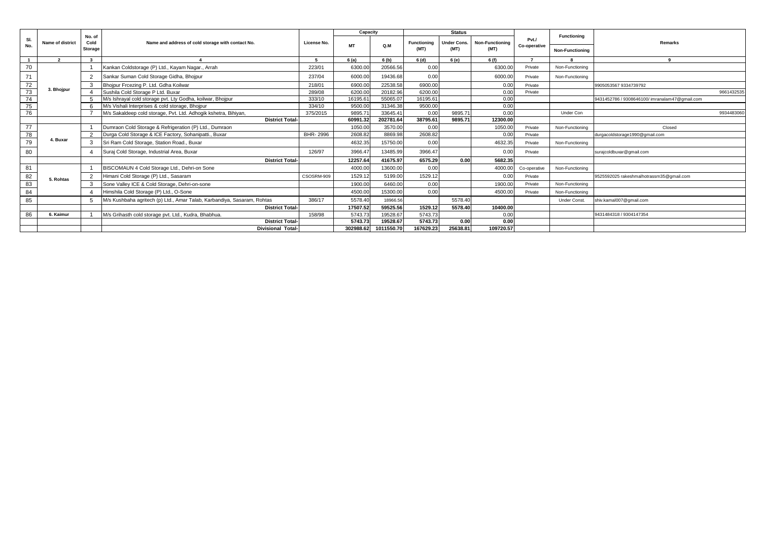|                 |                         |                           |                                                                         |             | Capacity  |            |                            | <b>Status</b>              |                                |                       | Functioning            |                                                |
|-----------------|-------------------------|---------------------------|-------------------------------------------------------------------------|-------------|-----------|------------|----------------------------|----------------------------|--------------------------------|-----------------------|------------------------|------------------------------------------------|
| SI.<br>No.      | <b>Name of district</b> | No. of<br>Cold<br>Storage | Name and address of cold storage with contact No.                       | License No. | <b>MT</b> | O.M        | <b>Functioning</b><br>(MT) | <b>Under Cons.</b><br>(MT) | <b>Non-Functioning</b><br>(MT) | Pvt./<br>Co-operative | <b>Non-Functioning</b> | Remarks                                        |
|                 | $\overline{2}$          | $\overline{\mathbf{3}}$   |                                                                         |             | 6(a)      | 6 (b)      | 6(d)                       | 6 (e)                      | 6 (f)                          | $\overline{ }$        |                        | $\Omega$                                       |
| 70              |                         |                           | Kankan Coldstorage (P) Ltd., Kayam Nagar., Arrah                        | 223/01      | 6300.00   | 20566.56   | 0.00                       |                            | 6300.00                        | Private               | Non-Functioning        |                                                |
| 71              |                         | $\overline{2}$            | Sankar Suman Cold Storage Gidha, Bhojpur                                | 237/04      | 6000.00   | 19436.68   | 0.00                       |                            | 6000.00                        | Private               | Non-Functioning        |                                                |
| $\frac{72}{73}$ |                         |                           | Bhoipur Frcezing P. Ltd. Gdha Koilwar                                   | 218/01      | 6900.00   | 22538.58   | 6900.00                    |                            | 0.00                           | Private               |                        | 9905053567 9334739792                          |
|                 | 3. Bhojpur              |                           | Sushila Cold Storage P Ltd. Buxar                                       | 289/08      | 6200.00   | 20182.96   | 6200.00                    |                            | 0.00                           | Private               |                        | 9661432535                                     |
| 74              |                         |                           | M/s Ishrayal cold storage pvt. Lty Godha, koilwar, Bhojpur              | 333/10      | 16195.61  | 55065.07   | 16195.61                   |                            | 0.00                           |                       |                        | 9431452786 / 9308646100/ imranalam47@gmail.com |
| 75              |                         |                           | M/s Vishali Interprises & cold storage, Bhojpur                         | 334/10      | 9500.00   | 31346.38   | 9500.00                    |                            | 0.00                           |                       |                        |                                                |
| 76              |                         |                           | M/s Sakaldeep cold storage, Pvt. Ltd. Adhogik kshetra, Bihiyan,         | 375/2015    | 9895.71   | 33645.41   | 0.00                       | 9895.71                    | 0.00                           |                       | Under Con              | 9934483060                                     |
|                 |                         |                           | <b>District Total-</b>                                                  |             | 60991.32  | 202781.64  | 38795.61                   | 9895.71                    | 12300.00                       |                       |                        |                                                |
| 77              |                         |                           | Dumraon Cold Storage & Refrigeration (P) Ltd., Dumraon                  |             | 1050.00   | 3570.00    | 0.00                       |                            | 1050.00                        | Private               | Non-Functioning        | Closed                                         |
| 78              |                         | 2                         | Durga Cold Storage & ICE Factory, Sohanipatti., Buxar                   | BHR-2996    | 2608.82   | 8869.98    | 2608.82                    |                            | 0.00                           | Private               |                        | durgacoldstorage1990@gmail.com                 |
| 79              | 4. Buxar                |                           | Sri Ram Cold Storage, Station Road., Buxar                              |             | 4632.35   | 15750.00   | 0.00                       |                            | 4632.35                        | Private               | Non-Functioning        |                                                |
| 80              |                         |                           | Suraj Cold Storage, Industrial Area, Buxar                              | 126/97      | 3966.47   | 13485.99   | 3966.47                    |                            | 0.00                           | Private               |                        | surajcoldbuxar@gmail.com                       |
|                 |                         |                           | <b>District Total</b>                                                   |             | 12257.64  | 41675.97   | 6575.29                    | 0.00                       | 5682.35                        |                       |                        |                                                |
| 81              |                         |                           | BISCOMAUN 4 Cold Storage Ltd., Dehri-on Sone                            |             | 4000.00   | 13600.00   | 0.00                       |                            | 4000.00                        | Co-operative          | Non-Functioning        |                                                |
| 82              | 5. Rohtas               |                           | Himani Cold Storage (P) Ltd., Sasaram                                   | CSOSRM-909  | 1529.12   | 5199.00    | 1529.12                    |                            | 0.00                           | Private               |                        | 9525592025 rakeshmalhotrassm35@gmail.com       |
| 83              |                         |                           | Sone Valley ICE & Cold Storage, Dehri-on-sone                           |             | 1900.00   | 6460.00    | 0.00                       |                            | 1900.00                        | Private               | Non-Functioning        |                                                |
| 84              |                         |                           | Himshila Cold Storage (P) Ltd., O-Sone                                  |             | 4500.00   | 15300.00   | 0.00                       |                            | 4500.00                        | Private               | Non-Functioning        |                                                |
| 85              |                         |                           | M/s Kushbaha agritech (p) Ltd., Amar Talab, Karbandiya, Sasaram, Rohtas | 386/17      | 5578.40   | 18966.56   |                            | 5578.40                    |                                |                       | <b>Under Const</b>     | shiv.kamal007@gmail.com                        |
|                 |                         |                           | <b>District Total-</b>                                                  |             | 17507.52  | 59525.56   | 1529.12                    | 5578.40                    | 10400.00                       |                       |                        |                                                |
| 86              | 6. Kaimur               |                           | M/s Grihasth cold storage pvt. Ltd., Kudra, Bhabhua.                    | 158/98      | 5743.73   | 19528.67   | 5743.73                    |                            | 0.00                           |                       |                        | 9431484318 / 9304147354                        |
|                 |                         |                           | <b>District Total-</b>                                                  |             | 5743.73   | 19528.67   | 5743.73                    | 0.00                       | 0.00                           |                       |                        |                                                |
|                 |                         |                           | <b>Divisional Total-</b>                                                |             | 302988.62 | 1011550.70 | 167629.23                  | 25638.81                   | 109720.57                      |                       |                        |                                                |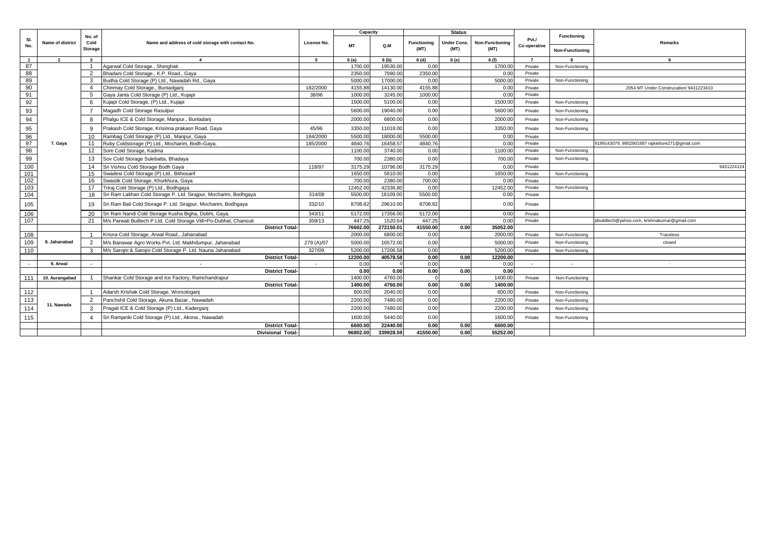|                |                  |                         |                                                                               |             | Capacity           |                    |                    | <b>Status</b>      |                        |                      |                          |                                                |
|----------------|------------------|-------------------------|-------------------------------------------------------------------------------|-------------|--------------------|--------------------|--------------------|--------------------|------------------------|----------------------|--------------------------|------------------------------------------------|
| SI.<br>No.     | Name of district | No. of<br>Cold          | Name and address of cold storage with contact No.                             | License No. | <b>MT</b>          | Q.M                | <b>Functioning</b> | <b>Jnder Cons.</b> | <b>Non-Functioning</b> | PvtJ<br>Co-operative | <b>Functioning</b>       | <b>Remarks</b>                                 |
|                |                  | Storage                 |                                                                               |             |                    |                    | (MT)               | (MT)               | (MT)                   |                      | Non-Functioning          |                                                |
| $\overline{1}$ | $\overline{2}$   | $\overline{\mathbf{3}}$ | $\overline{4}$                                                                | -5          | 6(a)               | 6 (b)              | 6 (d)              | 6 (e)              | 6 (f)                  | $\overline{7}$       | 8                        | $\mathbf{q}$                                   |
| 87             |                  |                         | Agarwal Cold Storage., Sherghati                                              |             | 1700.00            | 19530.00           | 0.00               |                    | 1700.00                | Private              | Non-Functioning          |                                                |
| 88             |                  | 2                       | Bhadani Cold Storage., K.P. Road., Gaya                                       |             | 2350.00            | 7990.00            | 2350.00            |                    | 0.00                   | Private              |                          |                                                |
| 89             |                  | -3                      | Budha Cold Storage (P) Ltd., Nawadah Rd., Gaya                                |             | 5000.00            | 17000.00           | 0.00               |                    | 5000.00                | Private              | Non-Functioning          |                                                |
| 90             |                  | $\boldsymbol{\Lambda}$  | Chinmay Cold Storage., Buniadganj                                             | 182/2000    | 4155.88            | 14130.00           | 4155.8             |                    | 0.00                   | Private              |                          | 2054 MT Under Construcation/ 9431223410        |
| 91             |                  | 5                       | Gaya Janta Cold Storage (P) Ltd., Kujapi                                      | 38/96       | 1000.00            | 3245.00            | 1000.00            |                    | 0.00                   | Private              |                          |                                                |
| 92             |                  | 6                       | Kujapi Cold Storage, (P) Ltd., Kujapi                                         |             | 1500.00            | 5100.00            | 0.00               |                    | 1500.00                | Private              | Non-Functioning          |                                                |
| 93             |                  | $\overline{7}$          | Magadh Cold Storage Rasulpur                                                  |             | 5600.00            | 19040.00           | 0.00               |                    | 5600.00                | Private              | Non-Functioning          |                                                |
| 94             |                  | 8                       | Phalqu ICE & Cold Storage, Manpur., Bunladanj                                 |             | 2000.00            | 6800.00            | 0.00               |                    | 2000.00                | Private              | Non-Functioning          |                                                |
| 95             |                  | 9                       | Prakash Cold Storage, Krisinna prakasn Road, Gaya                             | 45/96       | 3350.00            | 11018.00           | 0.00               |                    | 3350.00                | Private              | Non-Functioning          |                                                |
| 96             |                  | 10                      | Rambag Cold Storage (P) Ltd., Manpur, Gaya                                    | 184/2000    | 5500.00            | 18000.00           | 5500.00            |                    | 0.00                   | Private              |                          |                                                |
| 97             | 7. Gaya          | 11                      | Ruby Coldstorage (P) Ltd., Mocharim, Bodh-Gaya.                               | 185/2000    | 4840.76            | 16458.57           | 4840.7             |                    | 0.00                   | Private              |                          | 9199143079, 9852901687 rajkishore271@gmail.com |
| 98             |                  | 12                      | Som Cold Storage, Kadma                                                       |             | 1100.00            | 3740.00            | 0.00               |                    | 1100.00                | Private              | Non-Functioning          |                                                |
| 99             |                  | 13                      | Sov Cold Storage Sulebatta, Bhadaya                                           |             | 700.00             | 2380.00            | 0.00               |                    | 700.00                 | Private              | Non-Functioning          |                                                |
| 100            |                  | 14                      | Sri Vishnu Cold Storage Bodh Gaya                                             | 118/97      | 3175.29            | 10796.00           | 3175.29            |                    | 0.00                   | Private              |                          | 9431224124                                     |
| 101            |                  | 15                      | Swadesi Cold Storage (P) Ltd., Bithosarif                                     |             | 1650.00            | 5610.00            | 0.00               |                    | 1650.00                | Private              | Non-Functioning          |                                                |
| 102            |                  | 16                      | Swastik Cold Storage, Khurkhura, Gaya                                         |             | 700.00             | 2380.00            | 700.00             |                    | 0.00                   | Private              |                          |                                                |
| 103            |                  | 17                      | Triraj Cold Storage (P) Ltd., Bodhgaya                                        |             | 12452.00           | 42336.80           | 0.00               |                    | 12452.00               | Private              | Non-Functioning          |                                                |
| 104            |                  | 18                      | Sri Ram Lakhan Cold Storage P. Ltd. Sirajpur, Mocharim, Bodhgaya              | 314/08      | 5500.00            | 18109.00           | 5500.00            |                    | 0.00                   | Private              |                          |                                                |
| 105            |                  | 19                      | Sri Ram Bali Cold Storage P. Ltd. Sirajpur, Mocharim, Bodhgaya                | 332/10      | 8708.82            | 29610.00           | 8708.82            |                    | 0.00                   | Private              |                          |                                                |
| 106            |                  | 20                      | Sri Ram Nandi Cold Storage Kusha Bigha, Dobhi, Gaya.                          | 343/11      | 5172.00            | 17356.00           | 5172.00            |                    | 0.00                   | Private              |                          |                                                |
| 107            |                  | 21                      | M/s Parwati Builtech P.Ltd. Cold Storage Viill+Po-Dubhal, Chanouti            | 359/13      | 447.25             | 1520.64            | 447.25             |                    | 0.00                   | Private              |                          | pbuildtech@yahoo.com, krishnakumar@gmail.com   |
|                |                  |                         | <b>District Total-</b>                                                        |             | 76602.00           | 272150.01          | 41550.00           | 0.00               | 35052.00               |                      |                          |                                                |
| 108            |                  |                         | Krisna Cold Storage, Arwal Road., Jahanabad                                   |             | 2000.00            | 6800.00            | 0.00               |                    | 2000.00                | Private              | Non-Functioning          | Traceless                                      |
| 109            | 8. Jahanabad     | 2                       | M/s Banawar Agro Works Pvt. Ltd. Makhdumpur, Jahanabad                        | 279 (A)/07  | 5000.00            | 16572.00           | 0.00               |                    | 5000.00                | Private              | Non-Functioning          | closed                                         |
| 110            |                  | 3                       | M/s Sarojni & Sarojni Cold Storage P. Ltd. Nauna Jahanabad                    | 327/09      | 5200.00            | 17206.58           | 0.00               |                    | 5200.00                | Private              | Non-Functioning          |                                                |
|                |                  |                         | <b>District Total-</b>                                                        |             | 12200.00           | 40578.58           | 0.00               | 0.00               | 12200.00               |                      |                          |                                                |
| $\overline{a}$ | 9. Arwal         |                         |                                                                               |             | 0.00               |                    | 0.00               |                    | 0.00                   | $\sim$               | $\overline{\phantom{a}}$ | $\overline{\phantom{a}}$                       |
|                |                  |                         | <b>District Total-</b>                                                        |             | 0.00               | 0.00               | 0.00               | 0.00               | 0.00                   |                      |                          |                                                |
| 111            | 10. Aurangabad   |                         | Shankar Cold Storage and Ice Factory, Ramchandrapur<br><b>District Total-</b> |             | 1400.00<br>1400.00 | 4760.00<br>4760.00 | 0.00               | 0.00               | 1400.00<br>1400.00     | Private              | Non-Functioning          |                                                |
|                |                  |                         |                                                                               |             |                    | 2040.00            | 0.00               |                    | 600.00                 | Private              |                          |                                                |
| 112            |                  |                         | Adarsh Krishak Cold Storage, Worsologanj                                      |             | 600.00             |                    |                    |                    |                        |                      | Non-Functioning          |                                                |
| 113            | 11. Nawada       | 2                       | Panchshil Cold Storage, Akuna Bazar., Nawadah                                 |             | 2200.00            | 7480.00            | 0.00               |                    | 2200.00                | Private              | Non-Functioning          |                                                |
| 114            |                  | 3                       | Pragali ICE & Cold Storage (P) Ltd., Kaderganj                                |             | 2200.00            | 7480.00            | 0.00               |                    | 2200.0                 | Private              | Non-Functioning          |                                                |
| 115            |                  |                         | Sri Ramjanki Cold Storage (P) Ltd., Akona., Nawadah                           |             | 1600.00            | 5440.00            | 0.00               |                    | 1600.00                | Private              | Non-Functioning          |                                                |
|                |                  |                         | <b>District Total-</b>                                                        |             | 6600.00            | 22440.00           | 0.00               | 0.00               | 6600.00                |                      |                          |                                                |
|                |                  |                         | <b>Divisional Total-</b>                                                      |             | 96802.00           | 339928.59          | 41550.00           | 0.00               | 55252.00               |                      |                          |                                                |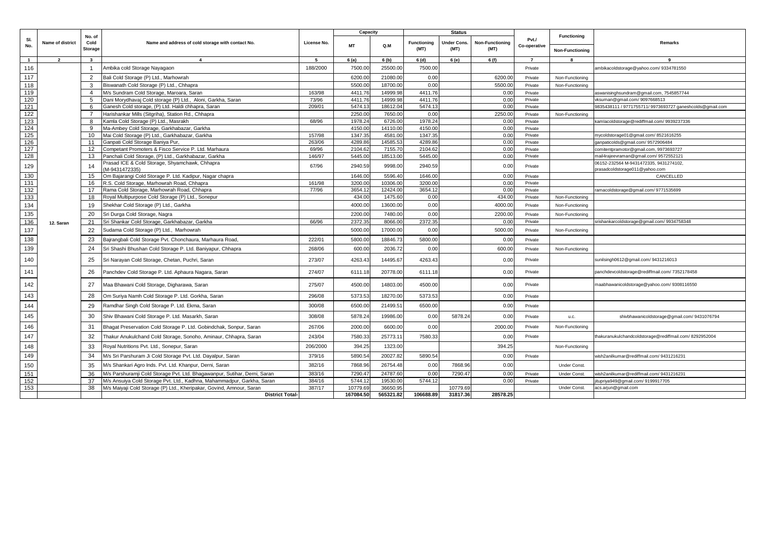|              |                  |                                  |                                                                           |             | Capacity  |           |                            | <b>Status</b>       |                                |                      | Functioning                        |                                                                          |
|--------------|------------------|----------------------------------|---------------------------------------------------------------------------|-------------|-----------|-----------|----------------------------|---------------------|--------------------------------|----------------------|------------------------------------|--------------------------------------------------------------------------|
| SI.<br>No.   | Name of district | No. of<br>Cold<br><b>Storage</b> | Name and address of cold storage with contact No.                         | License No. | <b>MT</b> | Q.M       | <b>Functioning</b><br>(MT) | Under Cons.<br>(MT) | <b>Non-Functioning</b><br>(MT) | PvtJ<br>Co-operative | <b>Non-Functioning</b>             | Remarks                                                                  |
| $\mathbf{1}$ | $\overline{2}$   | $\mathbf{3}$                     | $\overline{4}$                                                            | -5          | 6(a)      | 6(b)      | 6 (d)                      | 6 (e)               | 6 (f)                          | $\overline{7}$       | 8                                  | -9                                                                       |
| 116          |                  |                                  | Ambika cold Storage Nayagaon                                              | 188/2000    | 7500.00   | 25500.00  | 7500.00                    |                     |                                | Private              |                                    | ambikacoldstorage@yahoo.com/9334781550                                   |
| 117          |                  | 2                                | Bali Cold Storage (P) Ltd., Marhowrah                                     |             | 6200.00   | 21080.00  | 0.00                       |                     | 6200.00                        | Private              |                                    |                                                                          |
| 118          |                  | 3                                | Biswanath Cold Storage (P) Ltd., Chhapra                                  |             | 5500.00   | 18700.00  | 0.00                       |                     | 5500.00                        | Private              | Non-Functioning<br>Non-Functioning |                                                                          |
| 119          |                  | $\overline{4}$                   | M/s Sundram Cold Storage, Maroara, Saran                                  | 163/98      | 4411.76   | 14999.98  | 4411.76                    |                     | 0.00                           | Private              |                                    |                                                                          |
| 120          |                  | 5                                | Dani Morydhavaj Cold storage (P) Ltd., Aloni, Garkha, Saran               | 73/96       | 4411.76   | 14999.98  | 4411.76                    |                     | 0.00                           | Private              |                                    | aswanisinghsundram@gmail.com, 7545857744<br>vksuman@gmail.com/9097668513 |
| 121          |                  | 6                                | Ganesh Cold storage, (P) Ltd. Haldi chhapra, Saran                        | 209/01      | 5474.13   | 18612.04  | 5474.13                    |                     | 0.00                           | Private              |                                    | 9835438111 / 9771755711/ 9973693727 ganeshcolds@gmail.com                |
| 122          |                  |                                  | Harishankar Mills (Sitgriha), Station Rd., Chhapra                        |             | 2250.00   | 7650.00   | 0.00                       |                     | 2250.00                        | Private              | Non-Functioning                    |                                                                          |
| 123          |                  | 8                                | Kamla Cold Storage (P) Ltd., Masrakh                                      | 68/96       | 1978.24   | 6726.00   | 1978.24                    |                     | 0.00                           | Private              |                                    | kamlacoldstorage@rediffmail.com/9939237336                               |
| 124          |                  | 9                                | Ma-Ambey Cold Storage, Garkhabazar, Garkha                                |             | 4150.00   | 14110.00  | 4150.00                    |                     | 0.00                           | Private              |                                    |                                                                          |
| 125          |                  | 10                               | Mai Cold Storage (P) Ltd., Garkhabazar, Garkha                            | 157/98      | 1347.35   | 4581.00   | 1347.35                    |                     | 0.00                           | Private              |                                    | mycoldstorage01@gmail.com/8521616255                                     |
| 126          |                  | 11                               | Ganpati Cold Storage Baniya Pur.                                          | 263/06      | 4289.86   | 14585.53  | 4289.86                    |                     | 0.00                           | Private              |                                    | ganpaticolds@gmail.com/9572906484                                        |
| 127          |                  | 12                               | Competant Promoters & Fisco Service P. Ltd. Marhaura                      | 69/96       | 2104.62   | 7155.70   | 2104.62                    |                     | 0.00                           | Private              |                                    | comitentpramotor@gmail.com, 9973693727                                   |
| 128          |                  | 13                               | Panchali Cold Storage, (P) Ltd., Garkhabazar, Garkha                      | 146/97      | 5445.00   | 18513.00  | 5445.00                    |                     | 0.00                           | Private              |                                    | nail4rajeevraman@gmail.com/9572552121                                    |
| 129          |                  | 14                               | Prasad ICE & Cold Storage, Shyamchawk, Chhapra<br>(M-9431472335)          | 67/96       | 2940.59   | 9998.00   | 2940.59                    |                     | 0.00                           | Private              |                                    | 06152-232564 M-9431472335, 9431274102,<br>prasadcoldstorage011@yahoo.com |
| 130          |                  | 15                               | Om Bajarangi Cold Storage P. Ltd. Kadipur, Nagar chapra                   |             | 1646.00   | 5596.40   | 1646.00                    |                     | 0.00                           | Private              |                                    | CANCELLED                                                                |
| 131          |                  | 16                               | R.S. Cold Storage, Marhowrah Road, Chhapra                                | 161/98      | 3200.00   | 10306.00  | 3200.00                    |                     | 0.00                           | Private              |                                    |                                                                          |
| 132          |                  | 17                               | Rama Cold Storage, Marhowrah Road, Chhapra                                | 77/96       | 3654.12   | 12424.00  | 3654.12                    |                     | 0.00                           | Private              |                                    | ramacoldstorage@gmail.com/9771535699                                     |
| 133          |                  | 18                               | Royal Multipurpose Cold Storage (P) Ltd., Sonepur                         |             | 434.00    | 1475.60   | 0.00                       |                     | 434.00                         | Private              | Non-Functioning                    |                                                                          |
| 134          |                  | 19                               | Shekhar Cold Storage (P) Ltd., Garkha                                     |             | 4000.00   | 13600.00  | 0.00                       |                     | 4000.00                        | Private              | Non-Functioning                    |                                                                          |
| 135          |                  | 20                               | Sri Durga Cold Storage, Nagra                                             |             | 2200.00   | 7480.00   | 0.00                       |                     | 2200.00                        | Private              | Non-Functioning                    |                                                                          |
| 136          | 12. Saran        | 21                               | Sri Shankar Cold Storage, Garkhabazar, Garkha                             | 66/96       | 2372.35   | 8066.00   | 2372.35                    |                     | 0.00                           | Private              |                                    | srishankarcoldstorage@gmail.com/9934758348                               |
| 137          |                  | 22                               | Sudama Cold Storage (P) Ltd., Marhowrah                                   |             | 5000.00   | 17000.00  | 0.00                       |                     | 5000.00                        | Private              | Non-Functioning                    |                                                                          |
| 138          |                  | 23                               | Bajrangbali Cold Storage Pvt. Chonchaura, Marhaura Road                   | 222/01      | 5800.00   | 18846.7   | 5800.00                    |                     | 0.00                           | Private              |                                    |                                                                          |
| 139          |                  | 24                               | Sri Shashi Bhushan Cold Storage P. Ltd. Baniyapur, Chhapra                | 268/06      | 600.00    | 2036.72   | 0.00                       |                     | 600.00                         | Private              | Non-Functioning                    |                                                                          |
| 140          |                  | 25                               | Sri Narayan Cold Storage, Chetan, Puchri, Saran                           | 273/07      | 4263.43   | 14495.67  | 4263.43                    |                     | 0.00                           | Private              |                                    | sunilsingh0612@gmail.com/9431216013                                      |
| 141          |                  | 26                               | Panchdev Cold Storage P. Ltd. Aphaura Nagara, Saran                       | 274/07      | 6111.18   | 20778.00  | 6111.18                    |                     | 0.00                           | Private              |                                    | panchdevcoldstorage@rediffmail.com/7352178458                            |
| 142          |                  | 27                               | Maa Bhawani Cold Storage, Digharawa, Saran                                | 275/07      | 4500.00   | 14803.00  | 4500.00                    |                     | 0.00                           | Private              |                                    | maabhawanicoldstorage@yahoo.com/9308116550                               |
| 143          |                  | 28                               | Om Suriya Namh Cold Storage P. Ltd. Gorkha, Saran                         | 296/08      | 5373.53   | 18270.00  | 5373.53                    |                     | 0.00                           | Private              |                                    |                                                                          |
| 144          |                  | 29                               | Ramdhar Singh Cold Storage P. Ltd. Ekma, Saran                            | 300/08      | 6500.00   | 21499.51  | 6500.00                    |                     | 0.00                           | Private              |                                    |                                                                          |
| 145          |                  | 30                               | Shiv Bhawani Cold Storage P. Ltd. Masarkh, Saran                          | 308/08      | 5878.24   | 19986.00  | 0.00                       | 5878.24             | 0.00                           | Private              | <b>u.c.</b>                        | shivbhawanicoldstorage@gmail.com/9431076794                              |
| 146          |                  | 31                               | Bhagat Preservation Cold Storage P. Ltd. Gobindchak, Sonpur, Saran        | 267/06      | 2000.00   | 6600.00   | 0.00                       |                     | 2000.00                        | Private              | Non-Functioning                    |                                                                          |
| 147          |                  | 32                               | Thakur Anukulchand Cold Storage, Sonoho, Aminaur, Chhapra, Saran          | 243/04      | 7580.33   | 25773.1   | 7580.33                    |                     | 0.00                           | Private              |                                    | thakuranukulchandcoldstorage@rediffmail.com/8292952004                   |
| 148          |                  | 33                               | Royal Nutritions Pvt. Ltd., Sonepur, Saran                                | 206/2000    | 394.25    | 1323.00   |                            |                     | 394.25                         |                      | Non-Functioning                    |                                                                          |
| 149          |                  | 34                               | M/s Sri Parshuram Ji Cold Storage Pvt. Ltd. Dayalpur, Saran               | 379/16      | 5890.54   | 20027.82  | 5890.54                    |                     | 0.00                           | Private              |                                    | wish2anilkumar@rediffmail.com/9431216231                                 |
| 150          |                  | 35                               | M/s Shankari Agro Inds. Pvt. Ltd. Khanpur, Derni, Saran                   | 382/16      | 7868.96   | 26754.48  | 0.00                       | 7868.96             | 0.00                           |                      | Under Const.                       |                                                                          |
| 151          |                  | 36                               | M/s Parshuramji Cold Storage Pvt. Ltd. Bhagawanpur, Sutihar, Derni, Saran | 383/16      | 7290.47   | 24787.60  | 0.00                       | 7290.4              | 0.00                           | Private              | Under Const.                       | wish2anilkumar@rediffmail.com/9431216231                                 |
| 152          |                  | 37                               | M/s Ansuiya Cold Storage Pvt. Ltd., Kadhna, Mahammadpur, Garkha, Saran    | 384/16      | 5744.12   | 19530.00  | 5744.12                    |                     | 0.00                           | Private              |                                    | tupriya949@gmail.com/9199917705                                          |
| 153          |                  | 38                               | M/s Maiyaji Cold Storage (P) Ltd., Kheripakar, Govind, Amnour, Saran      | 387/17      | 10779.69  | 36650.95  |                            | 10779.69            |                                |                      | Under Const.                       | acs.arjun@gmail.com                                                      |
|              |                  |                                  | <b>District Total-</b>                                                    |             | 167084.50 | 565321.82 | 106688.89                  | 31817.36            | 28578.25                       |                      |                                    |                                                                          |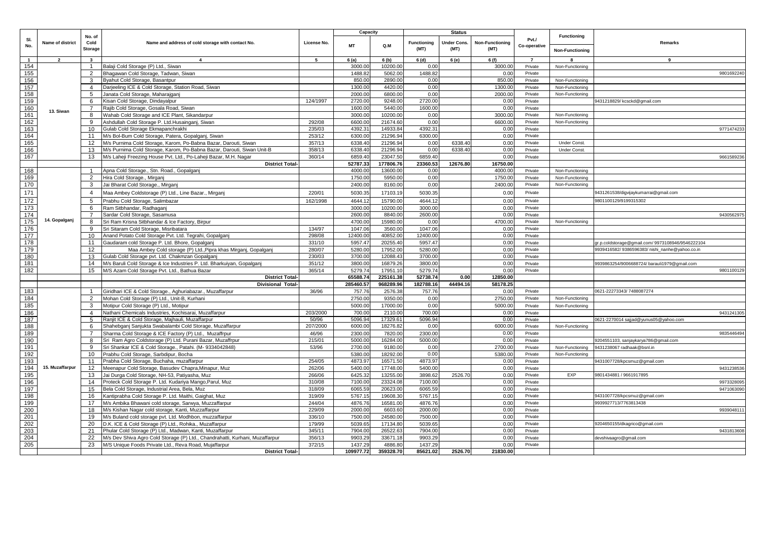|                  |                  |                           |                                                                                    |             | Capacity           |                      |                            | <b>Status</b>       |                         |                       |                                       |                                                  |
|------------------|------------------|---------------------------|------------------------------------------------------------------------------------|-------------|--------------------|----------------------|----------------------------|---------------------|-------------------------|-----------------------|---------------------------------------|--------------------------------------------------|
| SI.<br>No.       | Name of district | No. of<br>Cold<br>Storage | Name and address of cold storage with contact No.                                  | License No. | <b>MT</b>          | Q.M                  | <b>Functioning</b><br>(MT) | Under Cons.<br>(MT) | Non-Functioning<br>(MT) | Pvt./<br>Co-operative | Functioning<br><b>Non-Functioning</b> | Remarks                                          |
| $\overline{1}$   | $\overline{2}$   | $\mathbf{3}$              | $\overline{4}$                                                                     | - 5         | 6(a)               | 6(b)                 | 6 (d)                      | 6 (e)               | 6 (f)                   | $\overline{7}$        | 8                                     | 9                                                |
| 154              |                  | $\overline{1}$            | Balaji Cold Storage (P) Ltd., Siwan                                                |             | 3000.00            | 10200.0              | 0.00                       |                     | 3000.00                 | Private               | Non-Functioning                       |                                                  |
| 155              |                  | 2                         | Bhagawan Cold Storage, Tadwan, Siwan                                               |             | 1488.82            | 5062.00              | 1488.82                    |                     | 0.00                    | Private               |                                       | 9801692240                                       |
| 156              |                  | 3                         | Byahut Cold Storage, Basantpur                                                     |             | 850.00             | 2890.00              | 0.00                       |                     | 850.00                  | Private               | Non-Functioning                       |                                                  |
| 157              |                  | $\overline{4}$            | Darjeeling ICE & Cold Storage, Station Road, Siwan                                 |             | 1300.00            | 4420.00              | 0.00                       |                     | 1300.00                 | Private               | Non-Functioning                       |                                                  |
| 158              |                  | 5                         | Janata Cold Storage, Maharajganj                                                   |             | 2000.00            | 6800.00              | 0.00                       |                     | 2000.00                 | Private               | Non-Functioning                       |                                                  |
| 159              |                  | 6                         | Kisan Cold Storage, Dindayalpur                                                    | 124/1997    | 2720.00            | 9248.00              | 2720.00                    |                     | 0.00                    | Private               |                                       | 9431218829/kcsckd@gmail.com                      |
| 160              |                  | $\overline{7}$            | Rajib Cold Storage, Gosala Road, Siwan                                             |             | 1600.00            | 5440.00              | 1600.00                    |                     | 0.00                    | Private               |                                       |                                                  |
| 161              | 13. Siwan        | 8                         | Wahab Cold Storage and ICE Plant, Sikandarpur                                      |             | 3000.00            | 10200.00             | 0.00                       |                     | 3000.00                 | Private               | Non-Functioning                       |                                                  |
| 162              |                  | 9                         | Ashdullah Cold Storage P. Ltd.Husainganj, Siwan                                    | 292/08      | 6600.00            | 21674.60             | 0.00                       |                     | 6600.00                 | Private               | Non-Functioning                       |                                                  |
| 163              |                  | 10                        | Gulab Cold Storage Ekmapanchrakhi                                                  | 235/03      | 4392.3             | 14933.84             | 4392.31                    |                     | 0.00                    | Private               |                                       | 9771474233                                       |
| 164              |                  | 11                        | M/s Bol-Bum Cold Storage, Patera, Gopalganj, Siwan                                 | 253/12      | 6300.00            | 21296.94             | 6300.00                    |                     | 0.00                    | Private               |                                       |                                                  |
| 165              |                  | 12                        | M/s Purnima Cold Storage, Karom, Po-Babna Bazar, Darouti, Siwan                    | 357/13      | 6338.40            | 21296.94             | 0.00                       | 6338.40             | 0.00                    | Private               | Under Const.                          |                                                  |
| 166              |                  | 13                        | M/s Purnima Cold Storage, Karom, Po-Babna Bazar, Darouti, Siwan Unit-B             | 358/13      | 6338.4             | 21296.94             | 0.00                       | 6338.4              | 0.00                    | Private               | Under Const.                          |                                                  |
| 167              |                  | 13                        | M/s Laheji Freezing House Pvt. Ltd., Po-Laheji Bazar, M.H. Nagar                   | 360/14      | 6859.40            | 23047.5              | 6859.40                    |                     | 0.00                    | Private               |                                       | 9661589236                                       |
|                  |                  |                           | <b>District Total-</b>                                                             |             | 52787.33           | 177806.76            | 23360.53                   | 12676.80            | 16750.00                |                       |                                       |                                                  |
| 168              |                  | $\mathbf{1}$              | Apna Cold Storage., Stn. Road., Gopalganj                                          |             | 4000.00            | 13600.00             | 0.00                       |                     | 4000.00                 | Private               | Non-Functioning                       |                                                  |
| 169              |                  | 2                         | Hira Cold Storage., Mirganj                                                        |             | 1750.00            | 5950.00              | 0.00                       |                     | 1750.00                 | Private               | Non-Functioning                       |                                                  |
| 170              |                  | 3                         | Jai Bharat Cold Storage., Mirganj                                                  |             | 2400.00            | 8160.00              | 0.00                       |                     | 2400.00                 | Private               | Non-Functioning                       |                                                  |
| 171              |                  | $\overline{4}$            | Maa Ambey Coldstorage (P) Ltd., Line Bazar., Mirganj                               | 220/01      | 5030.35            | 17103.19             | 5030.3                     |                     | 0.00                    | Private               |                                       | 9431261538/digvijaykumarrai@gmail.com            |
| 172              |                  | 5                         | Prabhu Cold Storage, Salimbazar                                                    | 162/1998    | 4644.1             | 15790.00             | 4644.1                     |                     | 0.00                    | Private               |                                       | 9801100129/9199315302                            |
| 173              |                  | 6                         | Ram Sitbhandar, Radhaganj                                                          |             | 3000.00            | 10200.00             | 3000.00                    |                     | 0.00                    | Private               |                                       |                                                  |
| 174              |                  | $\overline{7}$            | Sardar Cold Storage, Sasamusa                                                      |             | 2600.00            | 8840.00              | 2600.00                    |                     | 0.00                    | Private               |                                       | 9430562975                                       |
| $\overline{175}$ | 14. Gopalganj    | 8                         | Sri Ram Krisna Sitbhandar & Ice Factory, Birpur                                    |             | 4700.00            | 15980.00             | 0.00                       |                     | 4700.00                 | Private               | Non-Functioning                       |                                                  |
| 176              |                  | 9                         | Sri Sitaram Cold Storage, Misribatara                                              | 134/97      | 1047.0             | 3560.00              | 1047.06                    |                     | 0.00                    | Private               |                                       |                                                  |
| 177              |                  | 10 <sup>1</sup>           | Anand Potato Cold Storage Pvt. Ltd. Tegrahi, Gopalganj                             | 298/08      | 12400.00           | 40852.00             | 12400.00                   |                     | 0.00                    | Private               |                                       |                                                  |
| 178              |                  | 11                        | Gaudaram cold Storage P. Ltd. Bhore, Gopalganj                                     | 331/10      | 5957.47            | 20255.40             | 5957.4                     |                     | 0.00                    | Private               |                                       | gr.p.coldstorage@gmail.com/9973108946/9546222104 |
| 179              |                  | 12                        | Maa Ambey Cold storage (P) Ltd., Pipra khas Mirganj, Gopalganj                     | 280/07      | 5280.00            | 17952.00             | 5280.0                     |                     | 0.00                    | Private               |                                       | 9939416582/9386596383/nishi_nanhe@yahoo.co.in    |
| 180              |                  | 13                        | Gulab Cold Storage pvt. Ltd. Chakmzan Gopalganj                                    | 230/03      | 3700.00            | 12088.43             | 3700.00                    |                     | 0.00                    | Private               |                                       |                                                  |
| 181              |                  | 14                        | M/s Baruli Cold Storage & Ice Industries P. Ltd. Bharkuiyan, Gopalganj             | 351/12      | 3800.00            | 16879.26             | 3800.00                    |                     | 0.00                    | Private               |                                       | 9939863254/9006688724/barauli1979@gmail.com      |
| 182              |                  | 15                        | M/S Azam Cold Storage Pvt. Ltd., Bathua Bazar                                      | 365/14      | 5279.74            | 17951.10             | 5279.74                    |                     | 0.00                    | Private               |                                       | 9801100129                                       |
|                  |                  |                           | <b>District Total</b>                                                              |             | 65588.74           | 225161.38            | 52738.74                   | 0.00                | 12850.00                |                       |                                       |                                                  |
|                  |                  |                           | <b>Divisional Total-</b>                                                           |             | 285460.57          | 968289.96            | 182788.16                  | 44494.16            | 58178.25                |                       |                                       |                                                  |
| 183              |                  | $\overline{1}$            | Giridhari ICE & Cold Storage., Aghuriabazar., Muzaffarpur                          | 36/96       | 757.76             | 2576.38              | 757.76                     |                     | 0.00                    | Private               |                                       | 0621-22273343/7488087274                         |
| 184              |                  | 2                         | Mohan Cold Storage (P) Ltd., Unit-B, Kurhani                                       |             | 2750.00            | 9350.00              | 0.00                       |                     | 2750.00                 | Private               | Non-Functioning                       |                                                  |
| 185              |                  | 3                         | Motipur Cold Storage (P) Ltd., Motipur                                             |             | 5000.00            | 17000.00             | 0.00                       |                     | 5000.00                 | Private               | Non-Functioning                       |                                                  |
| 186              |                  | $\overline{4}$            | Nathani Chemicals Industries, Kochisarai, Muzaffarpur                              | 203/2000    | 700.00             | 2110.00              | 700.00                     |                     | 0.00                    | Private               |                                       | 9431241305                                       |
| 187              |                  | -5                        | Ranjit ICE & Cold Storage, Majhauli, Muzaffarpur                                   | 50/96       | 5096.94            | 17329.61             | 5096.94                    |                     | 0.00                    | Private               |                                       | 0621-2270014 sajjad@yunus05@yahoo.com            |
| 188              |                  | 6                         | Shahebganj Sanjukta Swabalambi Cold Storage, Muzaffarpur                           | 207/2000    | 6000.00            | 18276.82             | 0.00                       |                     | 6000.00                 | Private               | Non-Functioning                       |                                                  |
| 189              |                  | $\overline{7}$            | Sharma Cold Storage & ICE Factory (P) Ltd., Muzaffrpur                             | 46/96       | 2300.00            | 7820.00              | 2300.00                    |                     | 0.00                    | Private               |                                       | 9835446494                                       |
| 190              |                  | 8                         | Sri Ram Agro Coldstorage (P) Ltd. Purani Bazar, Muzaffrpur                         | 215/01      | 5000.00            | 16284.00             | 5000.00                    |                     | 0.00                    | Private               |                                       | 9204551103, sanjaykarya786@gmail.com             |
| 191<br>192       |                  | 9                         | Sri Shankar ICE & Cold Storage., Patahi. (M- 9334042848)                           | 53/96       | 2700.00            | 9180.00              | 0.00<br>0.00               |                     | 2700.00                 | Private               | Non-Functioning                       | 9431238067 radhaak@bsnl.in                       |
| 193              |                  | 10<br>11                  | Prabhu Cold Storage, Sarbdipur, Bocha<br>Prabha Cold Storage, Buchaha, muzaffarpur | 254/05      | 5380.00<br>4873.97 | 18292.00<br>16571.50 | 4873.97                    |                     | 5380.00<br>0.00         | Private<br>Private    | Non-Functioning                       |                                                  |
| 194              | 15. Muzaffarpur  | 12                        | Meenapur Cold Storage, Basudev Chapra, Minapur, Muz                                | 262/06      | 5400.00            | 17748.00             | 5400.00                    |                     | 0.00                    | Private               |                                       | 9431007728/kpcsmuz@gmail.com<br>9431238536       |
| 195              |                  | 13                        | Jai Durga Cold Storage, NH-53, Patiyasha, Muz                                      | 266/06      | 6425.3             | 13255.00             | 3898.6                     | 2526.7              | 0.00                    | Private               | EXP                                   | 9801434881 / 9661917895                          |
| 196              |                  | 14                        | Proteck Cold Storage P. Ltd. Kudariya Mango, Parul, Muz                            | 310/08      | 7100.00            | 23324.08             | 7100.00                    |                     | 0.00                    | Private               |                                       | 9973328095                                       |
| 197              |                  | 15                        | Bela Cold Storage, Industrial Area, Bela, Muz                                      | 318/09      | 6065.59            | 20623.00             | 6065.59                    |                     | 0.00                    | Private               |                                       | 9471063090                                       |
| 198              |                  | 16                        | Kantiprabha Cold Storage P. Ltd. Maithi, Gaighat, Muz                              | 319/09      | 5767.15            | 19608.30             | 5767.15                    |                     | 0.00                    | Private               |                                       | 9431007728/kpcsmuz@gmail.com                     |
| 199              |                  | 17                        | M/s Ambika Bhawani cold storage, Sarwya, Muzzaffarpur                              | 244/04      | 4876.76            | 16581.00             | 4876.7                     |                     | 0.00                    | Private               |                                       | 9939927713/7763813438                            |
| 200              |                  | 18                        | M/s Kishan Nagar cold storage, Kanti, Muzzaffarpur                                 | 229/09      | 2000.00            | 6603.60              | 2000.00                    |                     | 0.00                    | Private               |                                       | 9939048111                                       |
| 201              |                  | 19                        | M/s Buland cold storage pvt. Ltd. Modhbon, muzzaffarpur                            | 336/10      | 7500.00            | 24580.00             | 7500.00                    |                     | 0.00                    | Private               |                                       |                                                  |
| 202              |                  | 20                        | D.K. ICE & Cold Storage (P) Ltd., Rohika., Muzaffarpur                             | 179/99      | 5039.65            | 17134.80             | 5039.65                    |                     | 0.00                    | Private               |                                       | 9204650155/dkagrico@gmail.com                    |
| 203              |                  | 21                        | Phular Cold Storage (P) Ltd., Madwan, Kanti, Muzaffarpur                           | 345/11      | 7904.00            | 26522.63             | 7904.00                    |                     | 0.00                    | Private               |                                       | 9431813608                                       |
| 204              |                  | 22                        | M/s Dev Shiva Agro Cold Storage (P) Ltd., Chandrahatti, Kurhani, Muzaffarpur       | 356/13      | 9903.29            | 33671.18             | 9903.2                     |                     | 0.00                    | Private               |                                       | devshivaagro@gmail.com                           |
| 205              |                  | 23                        | M/S Unique Foods Private Ltd., Reva Road, Mujaffarpur                              | 372/15      | 1437.29            | 4886.80              | 1437.29                    |                     | 0.00                    | Private               |                                       |                                                  |
|                  |                  |                           | <b>District Total-</b>                                                             |             | 109977.72          | 359328.70            | 85621.02                   | 2526.70             | 21830.00                |                       |                                       |                                                  |
|                  |                  |                           |                                                                                    |             |                    |                      |                            |                     |                         |                       |                                       |                                                  |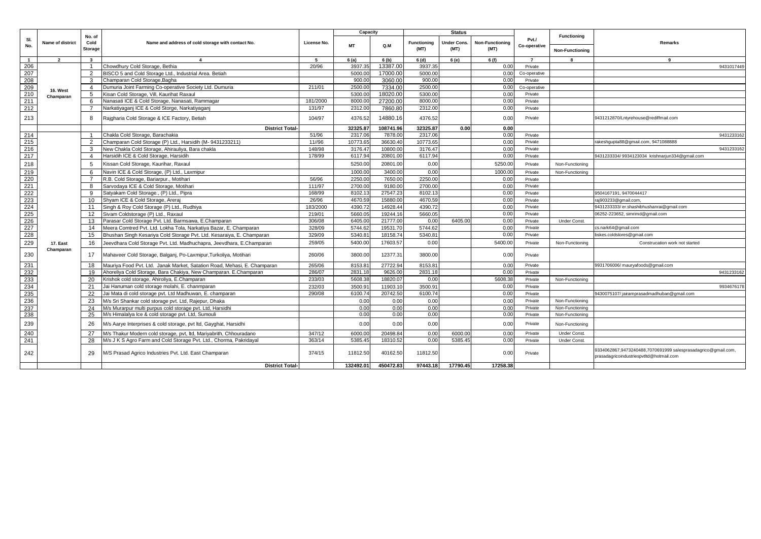|                                     |                       |                                  |                                                                          |             | Capacity         |           | <b>Status</b>              |                            |                                |                       |                        |                                                                                                          |            |
|-------------------------------------|-----------------------|----------------------------------|--------------------------------------------------------------------------|-------------|------------------|-----------|----------------------------|----------------------------|--------------------------------|-----------------------|------------------------|----------------------------------------------------------------------------------------------------------|------------|
| SI.<br>No.                          | Name of district      | No. of<br>Cold<br><b>Storage</b> | Name and address of cold storage with contact No.                        | License No. | <b>MT</b>        | Q.M       | <b>Functioning</b><br>(MT) | <b>Jnder Cons.</b><br>(MT) | <b>Non-Functioning</b><br>(MT) | Pvt./<br>Co-operative | <b>Functioning</b>     | Remarks                                                                                                  |            |
|                                     |                       |                                  |                                                                          |             |                  |           |                            |                            |                                |                       | <b>Non-Functioning</b> |                                                                                                          |            |
| $\mathbf{1}$                        | $\overline{2}$        | $\mathbf{3}$                     | $\overline{4}$                                                           | -5          | 6(a)             | 6(b)      | 6(d)                       | 6 (e)                      | 6 (f)                          | $\overline{7}$        | 8                      | 9                                                                                                        |            |
| 206                                 |                       | $\overline{1}$                   | Chowdhury Cold Storage, Bethia                                           | 20/96       | 3937.3           | 13387.00  | 3937.3                     |                            | 0.00                           | Private               |                        |                                                                                                          | 9431017449 |
| 207                                 |                       | 2                                | BISCO 5 and Cold Storage Ltd., Industrial Area. Betiah                   |             | 5000.0           | 17000.00  | 5000.00                    |                            | 0.00                           | Co-operative          |                        |                                                                                                          |            |
| 208                                 |                       | 3                                | Champaran Cold Storage, Bagha                                            |             | 900.0            | 3060.00   | 900.00                     |                            | 0.00                           | Private               |                        |                                                                                                          |            |
| 209                                 | 16. West              | 4                                | Dumuria Joint Farming Co-operative Society Ltd. Dumuria                  | 211/01      | 2500.0           | 7334.00   | 2500.00                    |                            | 0.00                           | Co-operative          |                        |                                                                                                          |            |
| 210                                 | Champaran             | $5^{\circ}$                      | Kisan Cold Storage, Vill, Kaurihat Raxaul                                |             | 5300.0           | 18020.00  | 5300.00<br>8000.0          |                            | 0.0(                           | Private               |                        |                                                                                                          |            |
| 211<br>212                          |                       | 6<br>$\overline{7}$              | Nanasati ICE & Cold Storage, Nanasati, Rammagar                          | 181/2000    | 8000.0<br>2312.0 | 27200.00  | 2312.0                     |                            | 0.00                           | Private               |                        |                                                                                                          |            |
|                                     |                       |                                  | Narkatiyaganj ICE & Cold Storge, Narkatiyaganj                           | 131/97      |                  | 7860.80   |                            |                            | 0.00                           | Private               |                        |                                                                                                          |            |
| 213                                 |                       | 8                                | Rajgharia Cold Storage & ICE Factory, Betiah                             | 104/97      | 4376.52          | 14880.16  | 4376.52                    |                            | 0.00                           | Private               |                        | 9431212870/Lntyrehouse@rediffmail.com                                                                    |            |
|                                     |                       |                                  | <b>District Total-</b>                                                   |             | 32325.8          | 108741.96 | 32325.87                   | 0.00                       | 0.00                           |                       |                        |                                                                                                          |            |
| 214                                 |                       | $\overline{1}$                   | Chakla Cold Storage, Barachakia                                          | 51/96       | 2317.0           | 7878.00   | 2317.06                    |                            | 0.00                           | Private               |                        |                                                                                                          | 9431233162 |
| 215                                 |                       | 2                                | Champaran Cold Storage (P) Ltd., Harsidih (M-9431233211)                 | 11//96      | 10773.6          | 36630.40  | 10773.65                   |                            | 0.00                           | Private               |                        | rakeshqupta88@gmail.com, 9471088888                                                                      |            |
| $\frac{216}{217}$                   |                       | 3                                | New Chakla Cold Storage, Ahirauliya, Bara chakla                         | 148/98      | 3176.4           | 10800.00  | 3176.4                     |                            | 0.00                           | Private               |                        |                                                                                                          | 9431233162 |
|                                     |                       | $\overline{4}$                   | Harsidih ICE & Cold Storage, Harsidih                                    | 178/99      | 6117.94          | 20801.00  | 6117.94                    |                            | 0.00                           | Private               |                        | 9431233334/9934123034 krishnarjun334@gmail.com                                                           |            |
| 218                                 |                       | 5                                | Kissan Cold Storage, Kaurihar, Raxaul                                    |             | 5250.0           | 20801.00  | 0.00                       |                            | 5250.00                        | Private               | Non-Functioning        |                                                                                                          |            |
|                                     |                       | 6                                | Navin ICE & Cold Storage, (P) Ltd., Laxmipur                             |             | 1000.0           | 3400.0    | 0.00                       |                            | 1000.0                         | Private               | Non-Functioning        |                                                                                                          |            |
| $\frac{219}{220}$                   |                       | $\overline{7}$                   | R.B. Cold Storage, Bariarpur., Motihari                                  | 56/96       | 2250.0           | 7650.00   | 2250.00                    |                            | 0.00                           | Private               |                        |                                                                                                          |            |
|                                     |                       | 8                                | Sarvodaya ICE & Cold Storage, Motihari                                   | 111/97      | 2700.0           | 9180.00   | 2700.00                    |                            | 0.00                           | Private               |                        |                                                                                                          |            |
| 222                                 |                       | 9                                | Satyakam Cold Storage., (P) Ltd., Pipra                                  | 168/99      | 8102.1           | 27547.23  | 8102.1                     |                            | 0.00                           | Private               |                        | 9504167191, 9470044417                                                                                   |            |
| 223                                 |                       | 10                               | Shyam ICE & Cold Storage, Areraj                                         | 26/96       | 4670.5           | 15880.00  | 4670.59                    |                            | 0.00                           | Private               |                        | raj903233@gmail.com                                                                                      |            |
|                                     |                       | 11                               | Singh & Roy Cold Storage (P) Ltd., Rudhiya                               | 183/2000    | 4390.7           | 14928.44  | 4390.72                    |                            | 0.00                           | Private               |                        | 9431233333/ er.shashibhushanrai@gmail.com                                                                |            |
|                                     |                       | 12                               | Sivam Coldstorage (P) Ltd., Raxaul                                       | 219/01      | 5660.0           | 19244.16  | 5660.0                     |                            | 0.00                           | Private               |                        | 06252-223652, simrimd@gmail.com                                                                          |            |
|                                     |                       | 13                               | Parasar Cold Storage Pyt. Ltd. Barmsawa, E.Champaran                     | 306/08      | 6405.0           | 21777.00  | 0.00                       | 6405.00                    | 0.00                           | Private               | Under Const.           |                                                                                                          |            |
| $\frac{224}{226}$ $\frac{225}{226}$ |                       | 14                               | Meera Comtred Pyt, Ltd, Lokha Tola, Narkatiya Bazar, E. Champaran        | 328/09      | 5744.62          | 19531.70  | 5744.62                    |                            | 0.00                           | Private               |                        | cs.nark64@gmail.com                                                                                      |            |
| 228                                 |                       | 15                               | Bhushan Singh Kesariya Cold Storage Pvt. Ltd. Kesaraiya, E. Champaran    | 329/09      | 5340.8           | 18158.74  | 5340.8                     |                            | 0.00                           | Private               |                        | bskes.coldstores@gmail.com                                                                               |            |
| 229                                 | 17. East<br>Champaran | 16                               | Jeevdhara Cold Storage Pvt. Ltd. Madhuchapra, Jeevdhara, E.Champaran     | 259/05      | 5400.00          | 17603.57  | 0.00                       |                            | 5400.00                        | Private               | Non-Functioning        | Construcation work not started                                                                           |            |
| 230                                 |                       | 17                               | Mahaveer Cold Storage, Balganj, Po-Laxmipur, Turkoliya, Motihari         | 260/06      | 3800.00          | 12377.31  | 3800.00                    |                            | 0.00                           | Private               |                        |                                                                                                          |            |
| 231                                 |                       | 18                               | Mauriya Food Pvt. Ltd. Janak Market, Satation Road, Mehasi, E. Champaran | 265/06      | 8153.8           | 27722.94  | 8153.81                    |                            | 0.00                           | Private               |                        | 9931706006/ mauryafoods@gmail.com                                                                        |            |
| 232                                 |                       | 19                               | Ahoreliya Cold Storage, Bara Chakiya, New Champaran. E.Champaran         | 286/07      | 2831.1           | 9626.00   | 2831.18                    |                            | 0.00                           | Private               |                        |                                                                                                          | 9431233162 |
| 233                                 |                       | 20                               | Krishok cold storage, Ahiroliya, E.Champaran                             | 233/03      | 5608.3           | 18820.07  | 0.00                       |                            | 5608.3                         | Private               | Non-Functioning        |                                                                                                          |            |
| 234                                 |                       | 21                               | Jai Hanuman cold storage molahi, E. chanmparan                           | 232/03      | 3500.9           | 11903.1   | 3500.9                     |                            | 0.00                           | Private               |                        |                                                                                                          | 9934676178 |
| 235                                 |                       | 22                               | Jai Mata di cold storage pvt. Ltd Madhuwan, E. champaran                 | 290/08      | 6100.7           | 20742.50  | 6100.74                    |                            | 0.00                           | Private               |                        | 9430075107/jairamprasadmadhuban@gmail.com                                                                |            |
| 236                                 |                       | 23                               | M/s Sri Shankar cold storage pvt. Ltd, Rajepur, Dhaka                    |             | 0.00             | 0.00      | 0.00                       |                            | 0.0(                           | Private               | Non-Functioning        |                                                                                                          |            |
| 237<br>238                          |                       | 24                               | M/s Murarpur multi purpus cold storage pvt. Ltd, Harsidhi                |             | 0.00             | 0.00      | 0.00                       |                            | 0.0                            | Private               | Non-Functioning        |                                                                                                          |            |
|                                     |                       | 25                               | M/s Himalalya Ice & cold storage pvt. Ltd, Sumoul                        |             | 0.00             | 0.00      | 0.00                       |                            | 0.00                           | Private               | Non-Functioning        |                                                                                                          |            |
| 239                                 |                       | 26                               | V/s Aarye Interprises & cold storage, pvt ltd, Gayghat, Harsidhi         |             | 0.00             | 0.00      | 0.00                       |                            | 0.00                           | Private               | Non-Functioning        |                                                                                                          |            |
| 240                                 |                       | 27                               | M/s Thakur Modern cold storage, pvt, ltd, Mariyabrith, Chhouradano       | 347/12      | 6000.0           | 20498.84  | 0.00                       | 6000.00                    | 0.00                           | Private               | Under Const.           |                                                                                                          |            |
| 241                                 |                       | 28                               | M/s J K S Agro Farm and Cold Storage Pvt. Ltd., Chorma, Pakridayal       | 363/14      | 5385.4           | 18310.52  | 0.00                       | 5385.45                    | 0.00                           | Private               | Under Const.           |                                                                                                          |            |
| 242                                 |                       | 29                               | M/S Prasad Agrico Industries Pvt. Ltd. East Champaran                    | 374/15      | 11812.50         | 40162.50  | 11812.50                   |                            | 0.00                           | Private               |                        | 9334062867,9473240488,7070691999 salesprasadagrico@gmail.com<br>prasadagricoindustriespvtltd@hotmail.com |            |
|                                     |                       |                                  | <b>District Total-</b>                                                   |             | 132492.01        | 450472.83 | 97443.18                   | 17790.45                   | 17258.38                       |                       |                        |                                                                                                          |            |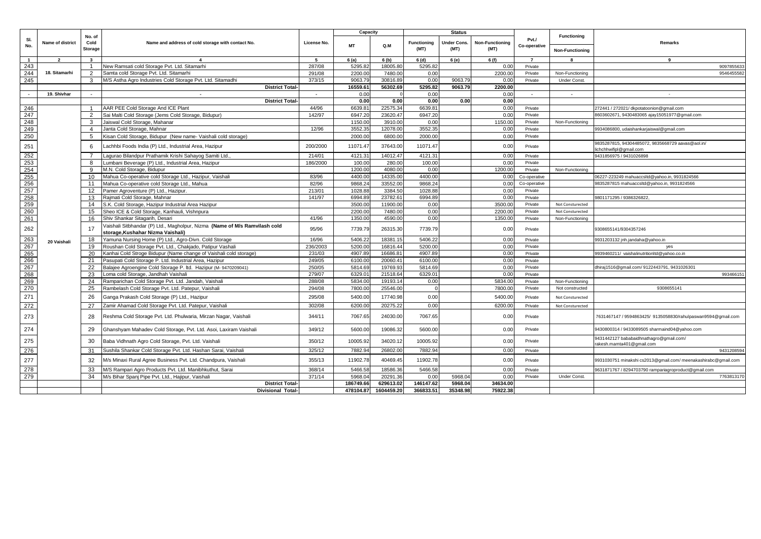|                |                  |                           |                                                                                                                 |             | Capacity  |            |                    | <b>Status</b>       |                        |                       |                        |                                                                              |
|----------------|------------------|---------------------------|-----------------------------------------------------------------------------------------------------------------|-------------|-----------|------------|--------------------|---------------------|------------------------|-----------------------|------------------------|------------------------------------------------------------------------------|
| SI.<br>No.     | Name of district | No. of<br>Cold<br>Storage | Name and address of cold storage with contact No.                                                               | License No. | <b>MT</b> | Q.M        | <b>Functioning</b> | Under Cons.<br>(MT) | <b>Non-Functioning</b> | Pvt./<br>Co-operative | <b>Functioning</b>     | Remarks                                                                      |
|                |                  |                           |                                                                                                                 |             |           |            | (MT)               |                     | (MT)                   |                       | <b>Non-Functioning</b> |                                                                              |
| $\overline{1}$ | $\overline{2}$   | $\overline{\mathbf{3}}$   | $\mathbf{A}$                                                                                                    | 5           | 6(a)      | 6(b)       | 6(d)               | 6 (e)               | 6 (f)                  | $\overline{7}$        | -8                     | 9                                                                            |
| 243            |                  | -1                        | New Ramsati cold Storage Pvt. Ltd. Sitamarhi                                                                    | 287/08      | 5295.82   | 18005.8    | 5295.82            |                     | 0.00                   | Private               |                        | 9097855633                                                                   |
| 244            | 18. Sitamarhi    | 2                         | Samta cold Storage Pvt. Ltd. Sitamarhi                                                                          | 291/08      | 2200.00   | 7480.00    | 0.00               |                     | 2200.00                | Private               | Non-Functioning        | 9546455582                                                                   |
| 245            |                  | 3                         | M/S Astha Agro Industries Cold Storage Pvt. Ltd. Sitamadhi                                                      | 373/15      | 9063.79   | 30816.8    | 0.00               | 9063.79             | 0.00                   | Private               | <b>Under Const</b>     |                                                                              |
|                |                  |                           | <b>District Total-</b>                                                                                          |             | 16559.61  | 56302.69   | 5295.82            | 9063.79             | 2200.00                |                       |                        |                                                                              |
| $\sim$         | 19. Shivhar      | $\sim$                    | $\sim$                                                                                                          | $\sim$      | 0.00      |            | 0.00               |                     | 0.00                   | $\sim$                | $\sim$                 | $\sim$                                                                       |
|                |                  |                           | <b>District Total-</b>                                                                                          |             | 0.00      | 0.00       | 0.00               | 0.00                | 0.00                   |                       |                        |                                                                              |
| 246            |                  | $\overline{1}$            | AAR PEE Cold Storage And ICE Plant                                                                              | 44/96       | 6639.81   | 22575.3    | 6639.8             |                     | 0.00                   | Private               |                        | 272441 / 272021/ dkpotatoonion@gmail.com                                     |
| 247            |                  | 2                         | Sai Malti Cold Storage (Jems Cold Storage, Bidupur)                                                             | 142/97      | 6947.20   | 23620.4    | 6947.20            |                     | 0.00                   | Private               |                        | 8603602671, 9430483065 ajay15051977@gmail.com                                |
| 248            |                  | $\mathbf{3}$              | Jaiswal Cold Storage, Mahanar                                                                                   |             | 1150.00   | 3910.00    | 0.00               |                     | 1150.00                | Private               | Non-Functioning        |                                                                              |
| 249            |                  | $\overline{4}$            | Janta Cold Storage, Mahnar                                                                                      | 12/96       | 3552.3    | 12078.0    | 3552.3             |                     | 0.00                   | Private               |                        | 9934086800, udaishankarjaiswal@gmail.com                                     |
| 250            |                  | 5                         | Kisan Cold Storage, Bidupur (New name- Vaishali cold storage)                                                   |             | 2000.00   | 6800.00    | 2000.00            |                     | 0.00                   | Private               |                        |                                                                              |
| 251            |                  | 6                         | achhbi Foods India (P) Ltd., Industrial Area, Hazipur                                                           | 200/2000    | 11071.47  | 37643.00   | 11071.47           |                     | 0.00                   | Private               |                        | 9835287815, 94304485072, 9835668729 aavas@aol.in/<br>lichchhwifipl@gmail.com |
| 252            |                  | $\overline{7}$            | agurao Bilandpur Prathamik Krishi Sahayog Samiti Ltd.                                                           | 214/01      | 4121.31   | 14012.47   | 4121.3             |                     | 0.00                   | Private               |                        | 9431856975 / 9431026898                                                      |
| 253            |                  | 8                         | umbani Beverage (P) Ltd., Industrial Area, Hazipur                                                              | 186/2000    | 100.00    | 280.00     | 100.00             |                     | 0.00                   | Private               |                        |                                                                              |
| 254            |                  | 9                         | M.N. Cold Storage, Bidupur                                                                                      |             | 1200.00   | 4080.00    | 0.00               |                     | 1200.00                | Private               | Non-Functioning        |                                                                              |
| 255            |                  | 10                        | Mahua Co-operative cold Storage Ltd., Hazipur, Vaishali                                                         | 83/96       | 4400.00   | 14335.00   | 4400.00            |                     | 0.00                   | Co-operative          |                        | 06227-223249 mahuaccsltd@vahoo.in. 9931824566                                |
| 256            |                  | 11                        | Mahua Co-operative cold Storage Ltd., Mahua                                                                     | 82/96       | 9868.24   | 33552.0    | 9868.2             |                     | 0.00                   | Co-operative          |                        | 9835287815 mahuaccsltd@yahoo.in, 9931824566                                  |
| 257            |                  | 12                        | Pamer Agroventure (P) Ltd., Hazipur.                                                                            | 213/01      | 1028.88   | 3384.50    | 1028.88            |                     | 0.00                   | Private               |                        |                                                                              |
| 258            |                  | 13                        | Rajmati Cold Storage, Mahnar                                                                                    | 141/97      | 6994.89   | 23782.6    | 6994.89            |                     | 0.00                   | Private               |                        | 9801171295 / 9386326822,                                                     |
| 259            |                  | 14                        | S.K. Cold Storage, Hazipur Industrial Area Hazipur                                                              |             | 3500.00   | 11900.00   | 0.00               |                     | 3500.00                | Private               | Not Consturected       |                                                                              |
| 260            |                  | 15                        | Sheo ICE & Cold Storage, Kanhauli, Vishnpura                                                                    |             | 2200.00   | 7480.00    | 0.00               |                     | 2200.00                | Private               | Not Consturected       |                                                                              |
| 261            |                  | 16                        | Shiv Shankar Sitagarih, Desari                                                                                  | 41/96       | 1350.00   | 4590.00    | 0.00               |                     | 1350.00                | Private               | Non-Functioning        |                                                                              |
| 262            |                  | 17                        | Vaishali Sitbhandar (P) Ltd., Magholpur, Nizma (Name of M/s Ramvilash cold<br>storage, Kushahar Nizma Vaishali) | 95/96       | 7739.79   | 26315.30   | 7739.79            |                     | 0.00                   | Private               |                        | 9308655141/9304357246                                                        |
| 263            |                  | 18                        | Yamuna Nursing Home (P) Ltd., Agro-Divn. Cold Storage                                                           | 16/96       | 5406.22   | 18381.15   | 5406.2             |                     | 0.00                   | Private               |                        | 9931203132 jnh.jandaha@yahoo.in                                              |
| 267            | 20 Vaishali      | 19                        | Roushan Cold Storage Pvt. Ltd., Chakjado, Patipur Vashali                                                       | 236/2003    | 5200.00   | 16816.44   | 5200.00            |                     | 0.00                   | Private               |                        | yes                                                                          |
| 265            |                  | 20                        | Kanhai Cold Stroge Bidupur (Name change of Vaishali cold storage)                                               | 231/03      | 4907.89   | 16686.81   | 4907.89            |                     | 0.00                   | Private               |                        | 9939460211/ vaishalinutritionltd@yahoo.co.in                                 |
| 266            |                  | 21                        | Pasupati Cold Storage P. Ltd. Industrial Area, Hazipur                                                          | 249/05      | 6100.00   | 20060.4    | 6100.00            |                     | 0.00                   | Private               |                        |                                                                              |
| 267            |                  | 22                        | Balajee Agroengine Cold Storage P. Itd. Hazipur (M-9470209041)                                                  | 250/05      | 5814.69   | 19769.93   | 5814.69            |                     | 0.00                   | Private               |                        | dhiraj1516@gmail.com/9122443791, 9431026301                                  |
| 268            |                  | 23                        | Loma cold Storage, Jandhah Vaishali                                                                             | 279/07      | 6329.01   | 21518.64   | 6329.0             |                     | 0.00                   | Private               |                        | 99346615                                                                     |
| 269            |                  | 24                        | Ramparichan Cold Storage Pvt. Ltd. Jandah, Vaishali                                                             | 288/08      | 5834.00   | 19193.1    | 0.00               |                     | 5834.00                | Private               | Non-Functioning        |                                                                              |
| 270            |                  | 25                        | Rambelash Cold Storage Pvt. Ltd. Patepur, Vaishali                                                              | 294/08      | 7800.00   | 25546.0    |                    |                     | 7800.00                | Private               | Not constructed        | 9308655141                                                                   |
| 271            |                  | 26                        | Ganga Prakash Cold Storage (P) Ltd., Hazipur                                                                    | 295/08      | 5400.00   | 17740.98   | 0.00               |                     | 5400.00                | Private               | Not Consturected       |                                                                              |
| 272            |                  | 27                        | Zamir Ahamad Cold Storage Pvt. Ltd. Patepur, Vaishali                                                           | 302/08      | 6200.00   | 20275.22   | 0.00               |                     | 6200.00                | Private               | Not Consturected       |                                                                              |
| 273            |                  | 28                        | Reshma Cold Storage Pvt. Ltd. Phulwaria, Mirzan Nagar, Vaishali                                                 | 344/11      | 7067.65   | 24030.00   | 7067.65            |                     | 0.00                   | Private               |                        | 7631467147 / 9594863425/ 9135058830/rahulpaswan9594@gmail.com                |
| 274            |                  | 29                        | Ghanshyam Mahadev Cold Storage, Pvt. Ltd. Asoi, Laxiram Vaishali                                                | 349/12      | 5600.00   | 19086.32   | 5600.00            |                     | 0.00                   | Private               |                        | 9430800314 / 9433089505 sharmaind04@yahoo.com                                |
| 275            |                  | 30                        | Baba Vidhnath Agro Cold Storage, Pvt. Ltd. Vaishali                                                             | 350/12      | 10005.92  | 34020.12   | 10005.92           |                     | 0.00                   | Private               |                        | 9431442127 bababaidhnathagro@gmail.com/<br>rakesh.mamta401@gmail.com         |
| 276            |                  | 31                        | Sushila Shankar Cold Storage Pvt. Ltd. Hashan Sarai, Vaishali                                                   | 325/12      | 7882.94   | 26802.00   | 7882.94            |                     | 0.00                   | Private               |                        | 9431208594                                                                   |
| 277            |                  | 32                        | M/s Minaxi Rural Agree Business Pvt. Ltd. Chandpura, Vaishali                                                   | 355/13      | 11902.78  | 40469.45   | 11902.78           |                     | 0.00                   | Private               |                        | 9931030751 minakshi cs2013@gmail.com/ meenakashirabc@gmail.com               |
| 278            |                  | 33                        | M/S Rampari Agro Products Pvt. Ltd. Manibhkuthut, Sarai                                                         | 368/14      | 5466.58   | 18586.36   | 5466.58            |                     | 0.00                   | Private               |                        | 9631871767 / 8294703790 rampariagroproduct@gmail.com                         |
| 279            |                  | 34                        | M/s Bihar Spanj Pipe Pvt. Ltd., Hajipur, Vaishali                                                               | 371/14      | 5968.04   | 20291.36   | 0.00               | 5968.0              | 0.00                   | Private               | <b>Under Const</b>     | 7763813170                                                                   |
|                |                  |                           | <b>District Total-</b>                                                                                          |             | 186749.66 | 629613.02  | 146147.62          | 5968.04             | 34634.00               |                       |                        |                                                                              |
|                |                  |                           | <b>Divisional Total-</b>                                                                                        |             | 478104.87 | 1604459.20 | 366833.51          | 35348.98            | 75922.38               |                       |                        |                                                                              |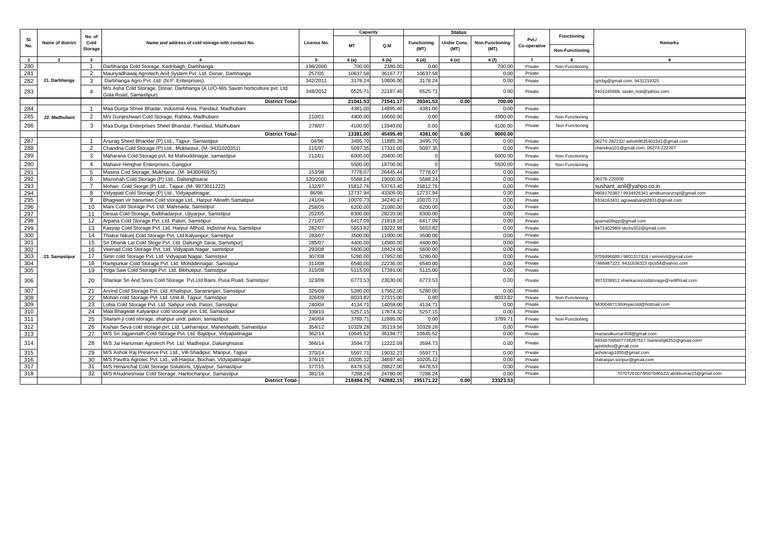|              |                  |                           |                                                                                                                                     |                  | Capacity           |                      |                            | <b>Status</b>       |                                |                       |                        |                                                                        |
|--------------|------------------|---------------------------|-------------------------------------------------------------------------------------------------------------------------------------|------------------|--------------------|----------------------|----------------------------|---------------------|--------------------------------|-----------------------|------------------------|------------------------------------------------------------------------|
| SI.<br>No.   | Name of district | No. of<br>Cold<br>Storage | Name and address of cold storage with contact No.                                                                                   | License No.      | <b>MT</b>          | Q.M                  | <b>Functioning</b><br>(MT) | Under Cons.<br>(MT) | <b>Non-Functioning</b><br>(MT) | Pvt./<br>Co-operative | <b>Functioning</b>     | <b>Remarks</b>                                                         |
|              |                  |                           |                                                                                                                                     |                  |                    |                      |                            |                     |                                |                       | <b>Non-Functioning</b> |                                                                        |
| $\mathbf{1}$ | $\overline{2}$   | $\mathbf{3}$              | $\mathbf{A}$                                                                                                                        | 5                | 6(a)               | 6(b)                 | 6(d)                       | 6 (e)               | 6 (f)                          | $\overline{7}$        |                        | 9                                                                      |
| 280          |                  | $\mathbf{1}$              | Darbhanga Cold Storage, Kadribagh, Darbhanga                                                                                        | 198/2000         | 700.00             | 2380.00              | 0.00                       |                     | 700.00                         | Private               | Non-Functioning        |                                                                        |
| 281          |                  | 2                         | Mauriyadhawaj Agrotech And System Pvt. Ltd. Donar, Darbhanga                                                                        | 257/05           | 10637.58           | 36167.77             | 10637.58                   |                     | 0.00                           | Private               |                        |                                                                        |
| 282          | 21. Darbhanga    | 3                         | Darbhanga Agro Pvt. Ltd. (N.P. Enterprises)                                                                                         | 342/2011         | 3178.24            | 10806.00             | 3178.24                    |                     | 0.00                           | Private               |                        | sjmbg@gmail.com, 9431219325                                            |
| 283          |                  |                           | M/s Asha Cold Storage, Donar, Darbhanga (A.U/O-M/s Savitri horticulture pvt. Ltd.<br>Gola Road, Samastipur)                         | 348/2012         | 6525.71            | 22187.40             | 6525.7                     |                     | 0.00                           | Private               |                        | 9431245688, savitri_hoti@yahoo.com                                     |
|              |                  |                           | <b>District Total-</b>                                                                                                              |                  | 21041.53           | 71541.17             | 20341.53                   | 0.00                | 700.00                         |                       |                        |                                                                        |
| 284          |                  | $\overline{1}$            | Maa Durga Shree Bhadar, Industrial Area, Pandaul, Madhubani                                                                         |                  | 4381.00            | 14895.40             | 4381.00                    |                     | 0.00                           | Private               |                        |                                                                        |
| 285          | 22. Madhubani    | 2                         | M/s Gunjeshwari Cold Storage, Rahika, Madhubani                                                                                     | 210/01           | 4900.00            | 16660.00             | 0.00                       |                     | 4900.00                        | Private               | Non-Functioning        |                                                                        |
| 286          |                  | 3                         | Maa Durga Enterprises Sheet Bhandar, Pandaul, Madhubani                                                                             | 278/07           | 4100.00            | 13940.00             | 0.00                       |                     | 4100.00                        | Private               | Non-Functioning        |                                                                        |
|              |                  |                           | <b>District Total-</b>                                                                                                              |                  | 13381.00           | 45495.40             | 4381.00                    | 0.00                | 9000.00                        |                       |                        |                                                                        |
| 287          |                  | $\overline{1}$            | Anurag Sheet Bhandar (P) Ltd., Tajpur, Samastipur                                                                                   | 04/96            | 3495.70            | 11885.3              | 3495.70                    |                     | 0.00                           | Private               |                        | 06274-282232/ashok9835401541@gmail.com                                 |
| 288          |                  | 2                         | Chandna Cold Storage (P) Ltd., Muktarpur, (M-9431020351)                                                                            | 115/97           | 5097.35            | 17331.00             | 5097.35                    |                     | 0.00                           | Private               |                        | chandna101@gmail.com, 06274-222307                                     |
| 289          |                  | 3                         | Maharana Cold Storage pvt, Itd Mahiuddinagar, samastipur                                                                            | 212/01           | 6000.00            | 20400.00             |                            |                     | 6000.00                        | Private               | Non-Functioning        |                                                                        |
|              |                  |                           |                                                                                                                                     |                  |                    |                      |                            |                     |                                |                       |                        |                                                                        |
| 290          |                  | 4                         | Mahavir Himghar Enterprises, Gangpur                                                                                                |                  | 5500.00            | 18700.0              |                            |                     | 5500.00                        | Private               | Non-Functioning        |                                                                        |
| 291          |                  | -5                        | Masina Cod Storage, Mukhtarur, (M-9430046975)                                                                                       | 153/98           | 7778.07            | 26445.4              | 7778.07                    |                     | 0.00                           | Private               |                        |                                                                        |
| 292          |                  | 6                         | Misrishah Cold Storage (P) Ltd., Dalsinghsarai                                                                                      | 120/2000         | 5588.24            | 19000.C              | 5588.24                    |                     | 0.00                           | Private               |                        | 06278-220008                                                           |
| 293          |                  | $\overline{7}$            | Mohan Cold Storge (P) Ltd., Tajpur, (M-9973011222)                                                                                  | 132/97           | 15812.76           | 53763.40             | 15812.76                   |                     | 0.00                           | Private               |                        | sushant anil@yahoo.co.in                                               |
| 294          |                  | 8                         | Vidyapati Cold Storage (P) Ltd., Vidyapatinagar.                                                                                    | 86/96            | 12737.94           | 43309.0              | 12737.94                   |                     | 0.00                           | Private               |                        | 9608170382 / 9934926341 amitkumarvcspl@gmail.com                       |
| 295          |                  | q                         | Bhagwan vir hanuman Cold storage Ltd., Harpur Allowth Samatipur                                                                     | 241/04           | 10070.73           | 34240.4              | 10070.7                    |                     | 0.00                           | Private               |                        | 9334163431 agrawalsanjit2831@gmail.com                                 |
| 296          |                  | 10                        | Mani Cold Storage Pvt. Ltd. Mahmada, Samstipur                                                                                      | 258/05           | 6200.00            | 21080.00             | 6200.00                    |                     | 0.00                           | Private               |                        |                                                                        |
| 297          |                  | 11                        | Desua Cold Storage, Balbhadarpur, Ujiyarpur, Samstipur                                                                              | 252/05<br>271/07 | 8300.00<br>6417.09 | 28220.00<br>21818.10 | 8300.00<br>6417.09         |                     | 0.00                           | Private               |                        |                                                                        |
| 298          |                  | 12                        | Arpana Cold Storage Pvt. Ltd. Patori, Samstipur                                                                                     |                  | 5653.82            | 19222.98             | 5653.82                    |                     | 0.00                           | Private               |                        | aparna08spp@gmail.com                                                  |
| 299          |                  | 13                        | Kasyap Cold Storage Pvt. Ltd. Harpur Althod, Indistrial Aria, Samstipur<br>Thakur Nikunj Cold Storage Pvt. Ltd.Kalyanpur, Samstipur | 282/07<br>283/07 | 3500.00            | 11900.00             |                            |                     | 0.00                           | Private               |                        | 9471402980/skchy302@gmail.com                                          |
| 300<br>301   |                  | 14                        |                                                                                                                                     |                  | 4400.00            |                      | 3500.00<br>4400.00         |                     | 0.00                           | Private               |                        |                                                                        |
| 302          |                  | 15<br>16                  | Sri Dhanik Lal Cold Stoge Pvt. Ltd. Dalsingh Sarai, Samstipur]<br>Veenad Cold Storage Pvt. Ltd. Vidyapati Nagar, samstipur          | 285/07<br>293/08 | 5600.00            | 14960.00<br>18424.00 | 5600.00                    |                     | 0.00<br>0.00                   | Private<br>Private    |                        |                                                                        |
| 303          | 23. Samastipur   | 17                        | Simri cold Storage Pvt. Ltd. Vidyapati Nagar, Samstipur                                                                             | 307/08           | 5280.00            | 17952.00             | 5280.00                    |                     | 0.00                           | Private               |                        | 9709496009 / 9801317424 / simrimd@gmail.com                            |
| 304          |                  | 18                        | Rampurkar Cold Storage Pvt. Ltd. Mohddinnagar, Samstipur                                                                            | 311/08           | 6540.00            | 22236.00             | 6540.00                    |                     | 0.00                           | Private               |                        | 7488487222, 9431836323 rpcs54@yahoo.com                                |
| 305          |                  | 19                        | Yoga Saw Cold Storage Pvt. Ltd. Bibhutipur, Samstipur                                                                               | 315/08           | 5115.00            | 17391.00             | 5115.00                    |                     | 0.00                           | Private               |                        |                                                                        |
|              |                  |                           |                                                                                                                                     |                  |                    |                      |                            |                     |                                |                       |                        |                                                                        |
| 306          |                  | 20                        | Shankar Sri And Sons Cold Storage Pvt.Ltd Baini, Pusa Road, Samstipur                                                               | 323/09           | 6773.53            | 23030.00             | 6773.53                    |                     | 0.00                           | Private               |                        | 9973338912 shankarsricoldstorage@rediffmail.com                        |
| 307          |                  | 21                        | Arvind Cold Storage Pvt. Ltd. Khalispur, Sarairanjan, Samstipur                                                                     | 325/09           | 5280.00            | 17952.00             | 5280.00                    |                     | 0.00                           | Private               |                        |                                                                        |
| 308          |                  | 22                        | Mohan cold Storage Pvt. Ltd. Unit-B, Tajpur, Samstipur                                                                              | 326/09           | 8033.82            | 27315.00             | 0.00                       |                     | 8033.82                        | Private               | Non-Functioning        |                                                                        |
| 309          |                  | 23                        | Lohia Cold Storage Pvt. Ltd. Sahpur vindi, Patori, Samstipur                                                                        | 240/04<br>339/10 | 4134.71<br>5257.15 | 14058.00<br>17874.32 | 4134.71<br>5257.15         |                     | 0.00                           | Private               |                        | 9430048713/lohivacold@hotmail.com                                      |
| 310          |                  | 24                        | Maa Bhagwati Kalyanpur cold storage pvt. Ltd, Samastipur                                                                            |                  |                    |                      |                            |                     | 0.00                           | Private               |                        |                                                                        |
| 311          |                  | 25                        | Sitaram ji cold storage, shahpur undi, patori, samastipur                                                                           | 240/04           | 3789.71            | 12885.00             | 0.00                       |                     | 3789.71                        | Private               | Non-Functioning        |                                                                        |
| 312          |                  | 26                        | Kishan Seva cold storage pvt. Ltd. Lakhamipur, Maheshpatti, Samastipur                                                              | 354/12           | 10329.28           | 35119.5              | 10329.28                   |                     | 0.00                           | Private               |                        |                                                                        |
| 313          |                  | 27                        | M/S Sri Jagannath Cold Storage Pvt. Ltd. Bajidpur, Vidyapatinagar                                                                   | 362/14           | 10645.52           | 36194.77             | 10645.52                   |                     | 0.00                           | Private               |                        | martandkumar408@gmail.com                                              |
| 314          |                  | 28                        | M/S Jai Hanuman Agrotech Pvt. Ltd. Madhepur, Dalsinghsarai                                                                          | 366/14           | 3594.73            | 12222.09             | 3594.73                    |                     | 0.00                           | Private               |                        | 9934870950/7739287517 /santoshji8252@gmail.com/<br>ajeetsdss@gmail.com |
| 315          |                  | 29                        | M/S Ashok Raj Preserve Pvt. Ltd., Vill-Shadipur, Manpur, Tajpur                                                                     | 370/14           | 5597.71            | 19032.23             | 5597.7                     |                     | 0.00                           | Private               |                        | ashokrajp1955@gmail.com                                                |
| 316          |                  | 30                        | M/S Pavitra Agrotec Pvt. Ltd., vill-Harpur, Bochan, Vidyapatinagar                                                                  | 376/15           | 10205.12           | 34697.40             | 10205.1                    |                     | 0.00                           | Private               |                        | chitranjan.sonpur@gmail.com                                            |
| 317          |                  | 31                        | M/S Himanchal Cold Storage Solutions, Ujiyarpur, Samastipur                                                                         | 377/15           | 8478.53            | 28827.00             | 8478.53                    |                     | 0.00                           | Private               |                        |                                                                        |
| 318          |                  | 32                        | M/S Khudneshwar Cold Storage, Harilochanpur, Samastipur                                                                             | 381/16           | 7288.24            | 24780.00             | 7288.24                    |                     | 0.00                           | Private               |                        | 7070726167/9507046522/alokkumar23@gmail.com                            |
|              |                  |                           | <b>District Total-</b>                                                                                                              |                  | 218494.75          | 742882.15            | 195171.22                  | 0.00                | 23323.53                       |                       |                        |                                                                        |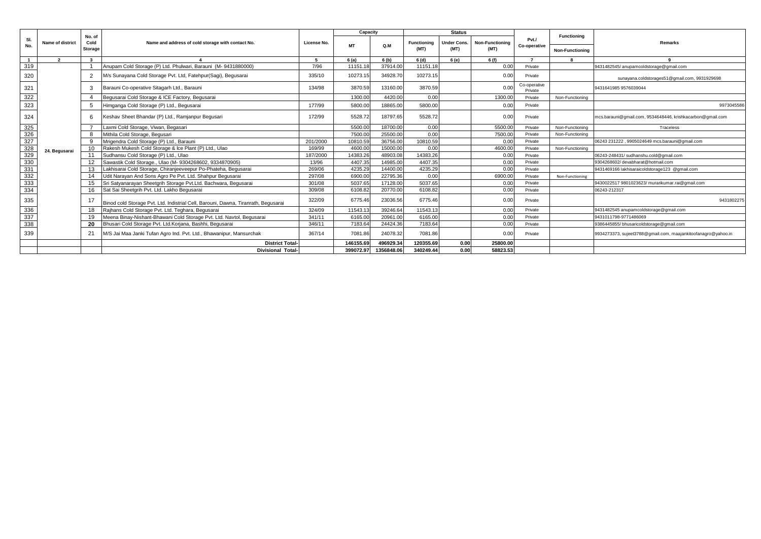|                                                       |                         |                         |                                                                                    |             | Capacity  |            |                    | <b>Status</b>      |                        |                         |                        |                                                               |
|-------------------------------------------------------|-------------------------|-------------------------|------------------------------------------------------------------------------------|-------------|-----------|------------|--------------------|--------------------|------------------------|-------------------------|------------------------|---------------------------------------------------------------|
| SI.                                                   | <b>Name of district</b> | No. of<br>Cold          | Name and address of cold storage with contact No.                                  | License No. |           |            | <b>Functioning</b> | <b>Under Cons.</b> | <b>Non-Functioning</b> | Pvt./                   | <b>Functioning</b>     | Remarks                                                       |
| No.                                                   |                         | Storage                 |                                                                                    |             | <b>MT</b> | O.M        | (MT)               | (MT)               | (MT)                   | Co-operative            | <b>Non-Functioning</b> |                                                               |
|                                                       | $\overline{2}$          | $\overline{\mathbf{3}}$ |                                                                                    | -5          | 6(a)      | 6 (b)      | 6 (d)              | 6 (e)              | 6 (f)                  |                         |                        |                                                               |
| 319                                                   |                         |                         | Anupam Cold Storage (P) Ltd. Phulwari, Barauni (M-9431880000)                      | 7/96        | 11151.18  | 37914.00   | 11151.18           |                    | 0.00                   | Private                 |                        | 9431482545/anupamcoldstorage@gmail.com                        |
| 320                                                   |                         | $\overline{2}$          | M/s Sunayana Cold Storage Pvt. Ltd, Fatehpur(Sagi), Begusarai                      | 335/10      | 10273.15  | 34928.70   | 10273.15           |                    | 0.00                   | Private                 |                        | sunayana.coldstorages51@gmail.com, 9931929698                 |
| 321                                                   |                         | 3                       | Barauni Co-operative Sitagarh Ltd., Barauni                                        | 134/98      | 3870.59   | 13160.00   | 3870.59            |                    | 0.00                   | Co-operative<br>Private |                        | 9431641985 9576039044                                         |
| 322                                                   |                         |                         | Begusarai Cold Storage & ICE Factory, Begusarai                                    |             | 1300.00   | 4420.00    | 0.00               |                    | 1300.00                | Private                 | Non-Functioning        |                                                               |
| 323                                                   |                         | 5                       | Himganga Cold Storage (P) Ltd., Begusarai                                          | 177/99      | 5800.00   | 18865.00   | 5800.00            |                    | 0.00                   | Private                 |                        | 9973045586                                                    |
| 324                                                   |                         | 6                       | Keshav Sheet Bhandar (P) Ltd., Ramjanpur Begusari                                  | 172/99      | 5528.72   | 18797.65   | 5528.72            |                    | 0.00                   | Private                 |                        | mcs.barauni@gmail.com, 9534648446, krishkacarbon@gmail.com    |
|                                                       |                         |                         | Laxmi Cold Storage, Viwan, Begasari                                                |             | 5500.00   | 18700.00   | 0.00               |                    | 5500.00                | Private                 | Non-Functioning        | Traceless                                                     |
| $\frac{325}{326}$                                     |                         | 8                       | Mithila Cold Storage, Begusari                                                     |             | 7500.00   | 25500.00   | 0.00               |                    | 7500.00                | Private                 | Non-Functioning        |                                                               |
|                                                       |                         | 9                       | Mrigendra Cold Storage (P) Ltd., Barauni                                           | 201/2000    | 10810.59  | 36756.00   | 10810.59           |                    | 0.00                   | Private                 |                        | 06243 231222, 9905024649 mcs.barauni@gmail.com                |
|                                                       | 24. Begusarai           | 10                      | Rakesh Mukesh Cold Storage & Ice Plant (P) Ltd., Ulao                              | 169/99      | 4600.00   | 15000.00   | 0.00               |                    | 4600.00                | Private                 | Non-Functioning        |                                                               |
|                                                       |                         | 11                      | Sudhansu Cold Storage (P) Ltd., Ulao                                               | 187/2000    | 14383.26  | 48903.08   | 14383.26           |                    | 0.00                   | Private                 |                        | 06243-248431/ sudhanshu.cold@gmail.com                        |
| $\frac{328}{329}$ $\frac{329}{330}$ $\frac{331}{332}$ |                         | 12                      | Sawastik Cold Storage., Ulao (M- 9304268602, 9334870905)                           | 13/96       | 4407.35   | 14985.00   | 4407.35            |                    | 0.00                   | Private                 |                        | 9304268602/ devabharat@hotmail.com                            |
|                                                       |                         | 13                      | Lakhisarai Cold Storage, Chiranjeeveepur Po-Phateha, Begusarai                     | 269/06      | 4235.29   | 14400.00   | 4235.29            |                    | 0.00                   | Private                 |                        | 9431469166 lakhisaraicoldstorage123 @gmail.com                |
|                                                       |                         | 14                      | Udit Narayan And Sons Agro Pe Pvt. Ltd. Shahpur Begusarai                          | 297/08      | 6900.00   | 22795.36   | 0.00               |                    | 6900.00                | Private                 | Non-Functioning        |                                                               |
| 333<br>334                                            |                         |                         | Sri Satyanarayan Sheetgrih Storage Pvt.Ltd. Bachwara, Begusarai                    | 301/08      | 5037.6    | 17128.00   | 5037.65            |                    | 0.00                   | Private                 |                        | 9430022517 9801023623/ murarikumar.rai@gmail.com              |
|                                                       |                         |                         | Sat Sai Sheetgrih Pvt. Ltd. Lakho Begusarai                                        | 309/08      | 6108.82   | 20770.00   | 6108.82            |                    | 0.00                   | Private                 |                        | 06243-212317                                                  |
| 335                                                   |                         | 17                      | Binod cold Storage Pvt. Ltd. Indistrial Cell, Barouni, Dawna, Tiranrath, Begusarai | 322/09      | 6775.46   | 23036.56   | 6775.46            |                    | 0.00                   | Private                 |                        | 9431802275                                                    |
| 336                                                   |                         |                         | Raihans Cold Storage Pvt. Ltd. Teghara, Begusarai                                  | 324/09      | 11543.13  | 39246.64   | 11543.13           |                    | 0.00                   | Private                 |                        | 9431482545 anupamcoldstorage@gmail.com                        |
| 337                                                   |                         |                         | Meena Binay-Nishant-Bhawani Cold Storage Pvt. Ltd. Navtol, Begusarai               | 341/11      | 6165.00   | 20961.00   | 6165.00            |                    | 0.00                   | Private                 |                        | 9431011798-9771486069                                         |
| 338                                                   |                         | 20                      | Bhusari Cold Storage Pvt. Ltd.Korjana, Bashhi, Begusarai                           | 346/11      | 7183.64   | 24424.36   | 7183.64            |                    | 0.00                   | Private                 |                        | 9386445855/bhusaricoldstorage@gmail.com                       |
| 339                                                   |                         | 21                      | M/S Jai Maa Janki Tufan Agro Ind. Pvt. Ltd., Bhawanipur, Mansurchak                | 367/14      | 7081.86   | 24078.32   | 7081.86            |                    | 0.00                   | Private                 |                        | 9934273373, sujeet3788@gmail.com, maajankitoofanagro@yahoo.in |
|                                                       |                         |                         | <b>District Total-</b>                                                             |             | 146155.69 | 496929.34  | 120355.69          | 0.00               | 25800.00               |                         |                        |                                                               |
|                                                       |                         |                         | <b>Divisional Total-</b>                                                           |             | 399072.97 | 1356848.06 | 340249.44          | 0.00               | 58823.53               |                         |                        |                                                               |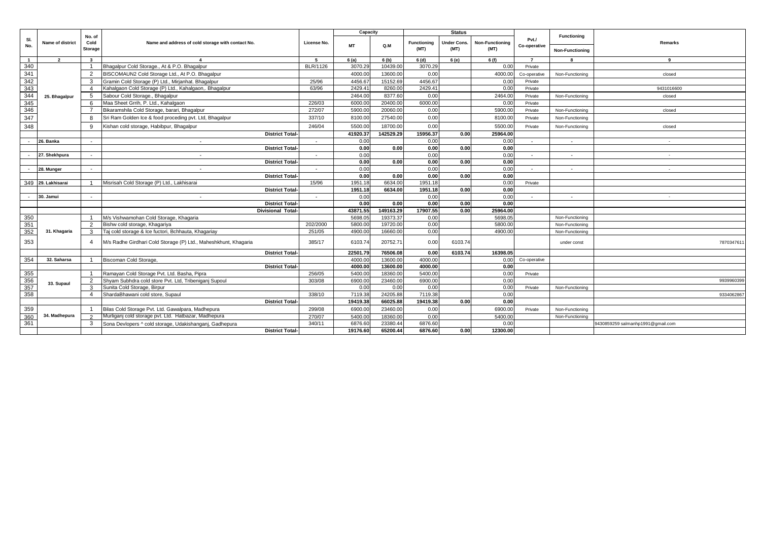|                          |                         |                |                                                                 |                          | Capacity  |           |             | <b>Status</b> |                        |                          |                        |                                   |
|--------------------------|-------------------------|----------------|-----------------------------------------------------------------|--------------------------|-----------|-----------|-------------|---------------|------------------------|--------------------------|------------------------|-----------------------------------|
| SI.<br>No.               | <b>Name of district</b> | No. of<br>Cold | Name and address of cold storage with contact No.               | License No.              | <b>MT</b> | Q.M       | Functioning | Under Cons.   | <b>Non-Functioning</b> | PvtJ<br>Co-operative     | <b>Functioning</b>     | <b>Remarks</b>                    |
|                          |                         | <b>Storage</b> |                                                                 |                          |           |           | (MT)        | (MT)          | (MT)                   |                          | <b>Non-Functioning</b> |                                   |
| $\overline{1}$           | $\overline{2}$          | $\mathbf{3}$   |                                                                 | -5                       | 6(a)      | 6 (b)     | 6(d)        | 6 (e)         | 6(f)                   | $\overline{7}$           |                        | $\mathbf{q}$                      |
| 340                      |                         | $\overline{1}$ | Bhagalpur Cold Storage., At & P.O. Bhagalpur                    | <b>BLR/1126</b>          | 3070.29   | 10439.00  | 3070.29     |               | 0.00                   | Private                  |                        |                                   |
| 341                      |                         | 2              | BISCOMAUN2 Cold Storage Ltd., At P.O. Bhagalpur                 |                          | 4000.00   | 13600.00  | 0.00        |               | 4000.00                | Co-operative             | Non-Functioning        | closed                            |
| 342                      |                         | 3              | Gramin Cold Storage (P) Ltd., Mirjanhat. Bhagalpur              | 25/96                    | 4456.67   | 15152.69  | 4456.67     |               | 0.00                   | Private                  |                        |                                   |
| 343                      |                         | $\overline{a}$ | Kahalgaon Cold Storage (P) Ltd., Kahalgaon,. Bhagalpur          | 63/96                    | 2429.41   | 8260.0    | 2429.41     |               | 0.00                   | Private                  |                        | 9431016600                        |
| 344                      | 25. Bhagalpur           | -5             | Sabour Cold Storage., Bhagalpur                                 |                          | 2464.00   | 8377.60   | 0.00        |               | 2464.00                | Private                  | Non-Functioning        | closed                            |
| 345                      |                         | -6             | Maa Sheet Grrih, P. Ltd., Kahalgaon                             | 226/03                   | 6000.00   | 20400.00  | 6000.00     |               | 0.00                   | Private                  |                        |                                   |
| 346                      |                         |                | Bikaramshila Cold Storage, barari, Bhagalpur                    | 272/07                   | 5900.00   | 20060.00  | 0.00        |               | 5900.00                | Private                  | Non-Functioning        | closed                            |
| 347                      |                         |                | Sri Ram Golden Ice & food proceding pvt. Ltd, Bhagalpur         | 337/10                   | 8100.00   | 27540.00  | 0.00        |               | 8100.00                | Private                  | Non-Functioning        |                                   |
| 348                      |                         | -9             | Kishan cold storage, Habibpur, Bhagalpur                        | 246/04                   | 5500.00   | 18700.00  | 0.00        |               | 5500.00                | Private                  | Non-Functioning        | closed                            |
|                          |                         |                | <b>District Total-</b>                                          |                          | 41920.37  | 142529.29 | 15956.37    | 0.00          | 25964.00               |                          |                        |                                   |
| $\overline{a}$           | 26. Banka               | $\sim$         | $\sim$                                                          | $\sim$                   | 0.00      |           | 0.00        |               | 0.00                   | $\sim$                   | $\sim$                 | $\sim$                            |
|                          |                         |                | <b>District Total-</b>                                          |                          | 0.00      | 0.00      | 0.00        | 0.00          | 0.00                   |                          |                        |                                   |
|                          | 27. Shekhpura           | $\sim$         | $\overline{\phantom{a}}$                                        | $\overline{\phantom{a}}$ | 0.00      |           | 0.00        |               | 0.00                   |                          |                        |                                   |
|                          |                         |                | <b>District Total-</b>                                          |                          | 0.00      | 0.00      | 0.00        | 0.00          | 0.00                   |                          |                        |                                   |
|                          | 28. Munger              | $\sim$         |                                                                 |                          | 0.00      |           | 0.00        |               | 0.00                   | $\overline{\phantom{a}}$ |                        | $\sim$                            |
|                          |                         |                | <b>District Total-</b>                                          |                          | 0.00      | 0.00      | 0.00        | 0.00          | 0.00                   |                          |                        |                                   |
|                          | 349 29. Lakhisarai      | $\overline{1}$ | Misrisah Cold Storage (P) Ltd., Lakhisarai                      | 15/96                    | 1951.18   | 6634.00   | 1951.18     |               | 0.00                   | Private                  |                        |                                   |
|                          |                         |                | <b>District Total-</b>                                          |                          | 1951.18   | 6634.00   | 1951.18     | 0.00          | 0.00                   |                          |                        |                                   |
| $\overline{\phantom{a}}$ | 30. Jamui               | $\sim$         | $\overline{\phantom{a}}$                                        | $\sim$                   | 0.00      |           | 0.00        |               | 0.00                   | $\sim$                   | $\overline{a}$         | $\sim$                            |
|                          |                         |                | <b>District Total-</b>                                          |                          | 0.00      | 0.00      | 0.00        | 0.00          | 0.00                   |                          |                        |                                   |
|                          |                         |                | <b>Divisional Total-</b>                                        |                          | 43871.55  | 149163.29 | 17907.55    | 0.00          | 25964.00               |                          |                        |                                   |
| 350                      |                         | $\overline{1}$ | M/s Vishwamohan Cold Storage, Khagaria                          |                          | 5698.05   | 19373.37  | 0.00        |               | 5698.05                |                          | Non-Functioning        |                                   |
| 351                      |                         | 2              | Bishw cold storage, Khagariya                                   | 202/2000                 | 5800.00   | 19720.00  | 0.00        |               | 5800.00                |                          | Non-Functioning        |                                   |
| 352                      | 31. Khagaria            | 3              | Taj cold storage & Ice fuctori, Bchhauta, Khagariay             | 251/05                   | 4900.00   | 16660.0   | 0.00        |               | 4900.00                |                          | Non-Functioning        |                                   |
| 353                      |                         | $\overline{a}$ | M/s Radhe Girdhari Cold Storage (P) Ltd., Maheshkhunt, Khagaria | 385/17                   | 6103.74   | 20752.71  | 0.00        | 6103.74       |                        |                          | under const            | 7870347611                        |
|                          |                         |                | <b>District Total-</b>                                          |                          | 22501.79  | 76506.08  | 0.00        | 6103.74       | 16398.05               |                          |                        |                                   |
| 354                      | 32. Saharsa             |                | Biscoman Cold Storage.                                          |                          | 4000.00   | 13600.00  | 4000.00     |               | 0.00                   | Co-operative             |                        |                                   |
|                          |                         |                | <b>District Total-</b>                                          |                          | 4000.00   | 13600.00  | 4000.00     |               | 0.00                   |                          |                        |                                   |
| 355                      |                         | $\overline{1}$ | Ramayan Cold Storage Pvt. Ltd. Basha, Pipra                     | 256/05                   | 5400.00   | 18360.00  | 5400.00     |               | 0.00                   | Private                  |                        |                                   |
| 356                      | 33. Supaul              | 2              | Shyam Subhdra cold store Pvt. Ltd, Tribeniganj Supoul           | 303/08                   | 6900.00   | 23460.00  | 6900.00     |               | 0.00                   |                          |                        | 9939960399                        |
| 357                      |                         | 3              | Sunita Cold Storage, Birpur                                     |                          | 0.00      | 0.00      | 0.00        |               | 0.00                   | Private                  | Non-Functioning        |                                   |
| 358                      |                         | $\overline{4}$ | ShardaBhawani cold store, Supaul                                | 338/10                   | 7119.38   | 24205.8   | 7119.38     |               | 0.00                   |                          |                        | 9334062867                        |
|                          |                         |                | <b>District Total-</b>                                          |                          | 19419.38  | 66025.88  | 19419.38    | 0.00          | 0.00                   |                          |                        |                                   |
| 359                      |                         |                | Bilas Cold Storage Pvt. Ltd. Gawalpara, Madhepura               | 299/08                   | 6900.00   | 23460.00  | 0.00        |               | 6900.00                | Private                  | Non-Functioning        |                                   |
| 360                      | 34. Madhepura           | $\mathcal{L}$  | Murliganj cold storage pvt. Ltd. Hatbazar, Madhepura            | 270/07                   | 5400.00   | 18360.00  | 0.00        |               | 5400.00                |                          | Non-Functioning        |                                   |
| 361                      |                         | 3              | Sona Devlopers ^ cold storage, Udakishanganj, Gadhepura         | 340/11                   | 6876.60   | 23380.4   | 6876.60     |               | 0.00                   |                          |                        | 9430859259 salmanhp1991@gmail.com |
|                          |                         |                | <b>District Total-</b>                                          |                          | 19176.60  | 65200.44  | 6876.60     | 0.00          | 12300.00               |                          |                        |                                   |